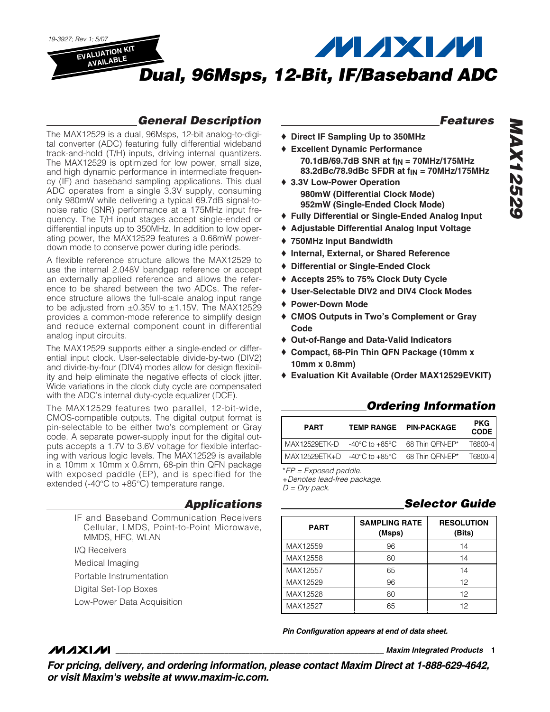

### *General Description*

The MAX12529 is a dual, 96Msps, 12-bit analog-to-digital converter (ADC) featuring fully differential wideband track-and-hold (T/H) inputs, driving internal quantizers. The MAX12529 is optimized for low power, small size, and high dynamic performance in intermediate frequency (IF) and baseband sampling applications. This dual ADC operates from a single 3.3V supply, consuming only 980mW while delivering a typical 69.7dB signal-tonoise ratio (SNR) performance at a 175MHz input frequency. The T/H input stages accept single-ended or differential inputs up to 350MHz. In addition to low operating power, the MAX12529 features a 0.66mW powerdown mode to conserve power during idle periods.

A flexible reference structure allows the MAX12529 to use the internal 2.048V bandgap reference or accept an externally applied reference and allows the reference to be shared between the two ADCs. The reference structure allows the full-scale analog input range to be adjusted from  $\pm 0.35V$  to  $\pm 1.15V$ . The MAX12529 provides a common-mode reference to simplify design and reduce external component count in differential analog input circuits.

The MAX12529 supports either a single-ended or differential input clock. User-selectable divide-by-two (DIV2) and divide-by-four (DIV4) modes allow for design flexibility and help eliminate the negative effects of clock jitter. Wide variations in the clock duty cycle are compensated with the ADC's internal duty-cycle equalizer (DCE).

The MAX12529 features two parallel, 12-bit-wide, CMOS-compatible outputs. The digital output format is pin-selectable to be either two's complement or Gray code. A separate power-supply input for the digital outputs accepts a 1.7V to 3.6V voltage for flexible interfacing with various logic levels. The MAX12529 is available in a 10mm x 10mm x 0.8mm, 68-pin thin QFN package with exposed paddle (EP), and is specified for the extended (-40°C to +85°C) temperature range.

### *Applications*

IF and Baseband Communication Receivers Cellular, LMDS, Point-to-Point Microwave, MMDS, HFC, WLAN

I/Q Receivers

**MAXIM** 

Medical Imaging

Portable Instrumentation

Digital Set-Top Boxes

Low-Power Data Acquisition

### *Features*

- ♦ **Direct IF Sampling Up to 350MHz**
- ♦ **Excellent Dynamic Performance 70.1dB/69.7dB SNR at fIN = 70MHz/175MHz 83.2dBc/78.9dBc SFDR at fIN = 70MHz/175MHz**
- ♦ **3.3V Low-Power Operation 980mW (Differential Clock Mode) 952mW (Single-Ended Clock Mode)**
- ♦ **Fully Differential or Single-Ended Analog Input**
- ♦ **Adjustable Differential Analog Input Voltage**
- ♦ **750MHz Input Bandwidth**
- ♦ **Internal, External, or Shared Reference**
- ♦ **Differential or Single-Ended Clock**
- ♦ **Accepts 25% to 75% Clock Duty Cycle**
- ♦ **User-Selectable DIV2 and DIV4 Clock Modes**
- ♦ **Power-Down Mode**
- ♦ **CMOS Outputs in Two's Complement or Gray Code**
- ♦ **Out-of-Range and Data-Valid Indicators**
- ♦ **Compact, 68-Pin Thin QFN Package (10mm x 10mm x 0.8mm)**
- ♦ **Evaluation Kit Available (Order MAX12529EVKIT)**

### *Ordering Information*

| <b>PART</b>                  | TEMP RANGE PIN-PACKAGE | <b>PKG</b><br><b>CODE</b> |
|------------------------------|------------------------|---------------------------|
|                              |                        | T6800-4 <sub>1</sub>      |
| MAX12529ETK+D -40°C to +85°C | 68 Thin QFN-EP*        | T6800-4                   |

\**EP = Exposed paddle.*

+*Denotes lead-free package.*

*D = Dry pack.*

### *Selector Guide*

| <b>PART</b> | <b>SAMPLING RATE</b><br>(Msps) | <b>RESOLUTION</b><br>(Bits) |
|-------------|--------------------------------|-----------------------------|
| MAX12559    | 96                             | 14                          |
| MAX12558    | 80                             | 14                          |
| MAX12557    | 65                             | 14                          |
| MAX12529    | 96                             | 12                          |
| MAX12528    | 80                             | 12                          |
| MAX12527    | 65                             | 12                          |

*Pin Configuration appears at end of data sheet.*

**\_\_\_\_\_\_\_\_\_\_\_\_\_\_\_\_\_\_\_\_\_\_\_\_\_\_\_\_\_\_\_\_\_\_\_\_\_\_\_\_\_\_\_\_\_\_\_\_\_\_\_\_\_\_\_\_\_\_\_\_\_\_\_\_** *Maxim Integrated Products* **1**

*For pricing, delivery, and ordering information, please contact Maxim Direct at 1-888-629-4642, or visit Maxim's website at www.maxim-ic.com.*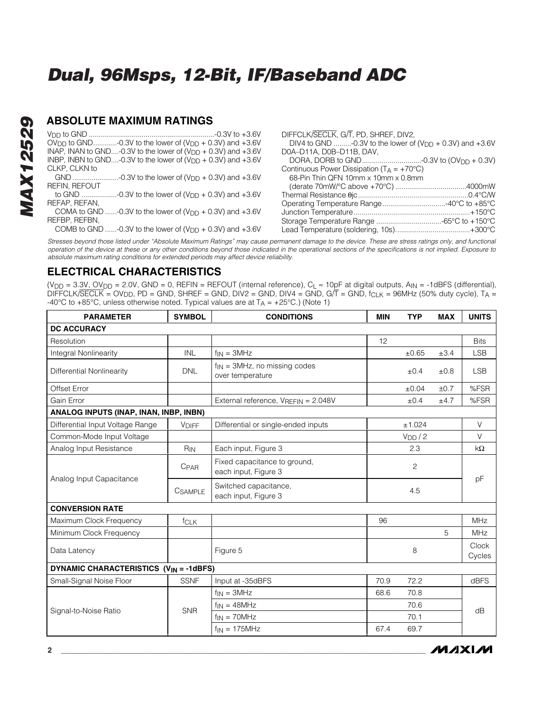### **ABSOLUTE MAXIMUM RATINGS**

|                                                                             | DIFFCLK/SECLK, G/T, PD, SHREF, DIV2,                            |
|-----------------------------------------------------------------------------|-----------------------------------------------------------------|
| OV <sub>DD</sub> to GND-0.3V to the lower of $(V_{DD} + 0.3V)$ and +3.6V    | DIV4 to GND -0.3V to the lower of $(V_{DD} + 0.3V)$ and $+3.6V$ |
| INAP, INAN to GND-0.3V to the lower of $(V_{\text{DD}} + 0.3V)$ and $+3.6V$ | D0A-D11A, D0B-D11B, DAV,                                        |
| INBP, INBN to GND-0.3V to the lower of $(V_{DD} + 0.3V)$ and $+3.6V$        |                                                                 |
| CLKP, CLKN to                                                               | Continuous Power Dissipation $(T_A = +70^{\circ}C)$             |
|                                                                             | 68-Pin Thin QFN 10mm x 10mm x 0.8mm                             |
| <b>REFIN. REFOUT</b>                                                        |                                                                 |
| to GND -0.3V to the lower of $(V_{DD} + 0.3V)$ and $+3.6V$                  |                                                                 |
| REFAP, REFAN,                                                               |                                                                 |
| COMA to GND -0.3V to the lower of $(V_{DD} + 0.3V)$ and $+3.6V$             |                                                                 |
| REFBP, REFBN.                                                               |                                                                 |
| COMB to GND -0.3V to the lower of $(V_{DD} + 0.3V)$ and $+3.6V$             |                                                                 |

*Stresses beyond those listed under "Absolute Maximum Ratings" may cause permanent damage to the device. These are stress ratings only, and functional operation of the device at these or any other conditions beyond those indicated in the operational sections of the specifications is not implied. Exposure to absolute maximum rating conditions for extended periods may affect device reliability.*

### **ELECTRICAL CHARACTERISTICS**

(V<sub>DD</sub> = 3.3V, OV<sub>DD</sub> = 2.0V, GND = 0, REFIN = REFOUT (internal reference), C<sub>L</sub> ≈ 10pF at digital outputs, A<sub>IN</sub> = -1dBFS (differential), DIFFCLK/SECLK = OVDD, PD = GND, SHREF = GND, DIV2 = GND, DIV4 = GND, G/T = GND, fCLK = 96MHz (50% duty cycle), TA = -40°C to +85°C, unless otherwise noted. Typical values are at  $T_A = +25$ °C.) (Note 1)

| <b>PARAMETER</b>                              | <b>SYMBOL</b> | <b>CONDITIONS</b>                                     | <b>MIN</b> | <b>TYP</b>          | <b>MAX</b> | <b>UNITS</b>    |
|-----------------------------------------------|---------------|-------------------------------------------------------|------------|---------------------|------------|-----------------|
| <b>DC ACCURACY</b>                            |               |                                                       |            |                     |            |                 |
| Resolution                                    |               |                                                       | 12         |                     |            | <b>Bits</b>     |
| Integral Nonlinearity                         | <b>INL</b>    | $f_{IN} = 3MHz$                                       |            | $\pm 0.65$          | ±3.4       | <b>LSB</b>      |
| Differential Nonlinearity                     | <b>DNL</b>    | $f_{IN}$ = 3MHz, no missing codes<br>over temperature |            | $\pm 0.4$           | ±0.8       | <b>LSB</b>      |
| Offset Error                                  |               |                                                       |            | ±0.04               | ±0.7       | %FSR            |
| Gain Error                                    |               | External reference, VREFIN = 2.048V                   |            | ±0.4                | ±4.7       | %FSR            |
| ANALOG INPUTS (INAP, INAN, INBP, INBN)        |               |                                                       |            |                     |            |                 |
| Differential Input Voltage Range              | <b>VDIFF</b>  | Differential or single-ended inputs                   |            | ±1.024              |            | V               |
| Common-Mode Input Voltage                     |               |                                                       |            | V <sub>DD</sub> / 2 |            | $\vee$          |
| Analog Input Resistance                       | $R_{IN}$      | Each input, Figure 3                                  |            | 2.3                 |            | $k\Omega$       |
|                                               | CPAR          | Fixed capacitance to ground,<br>each input, Figure 3  |            | $\mathbf{2}$        |            |                 |
| Analog Input Capacitance                      | CSAMPLE       | Switched capacitance,<br>each input, Figure 3         |            | 4.5                 |            | pF              |
| <b>CONVERSION RATE</b>                        |               |                                                       |            |                     |            |                 |
| Maximum Clock Frequency                       | fcLK          |                                                       | 96         |                     |            | <b>MHz</b>      |
| Minimum Clock Frequency                       |               |                                                       |            |                     | 5          | <b>MHz</b>      |
| Data Latency                                  |               | Figure 5                                              |            | 8                   |            | Clock<br>Cycles |
| <b>DYNAMIC CHARACTERISTICS (VIN = -1dBFS)</b> |               |                                                       |            |                     |            |                 |
| Small-Signal Noise Floor                      | <b>SSNF</b>   | Input at -35dBFS                                      | 70.9       | 72.2                |            | <b>dBFS</b>     |
|                                               |               | $f_{IN} = 3MHz$                                       | 68.6       | 70.8                |            |                 |
| Signal-to-Noise Ratio                         | <b>SNR</b>    | $f_{IN} = 48MHz$                                      |            | 70.6                |            | dB              |
|                                               |               | $f_{IN} = 70MHz$                                      |            | 70.1                |            |                 |
|                                               |               | $f_{IN} = 175MHz$                                     | 67.4       | 69.7                |            |                 |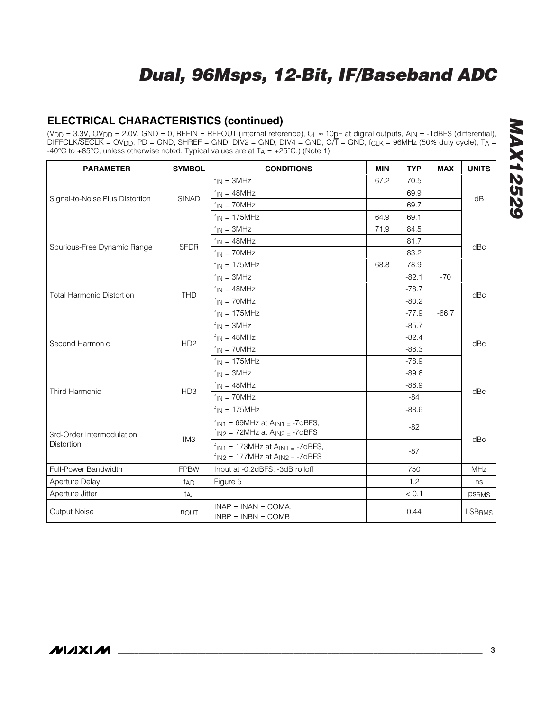### **ELECTRICAL CHARACTERISTICS (continued)**

(V<sub>DD</sub> = 3.3V, OV<sub>DD</sub> = 2.0V, GND = 0, REFIN = REFOUT (internal reference), C<sub>L</sub> ≈ 10pF at digital outputs, A<sub>IN</sub> = -1dBFS (differential), DIFFCLK/SECLK = OVDD, PD = GND, SHREF = GND, DIV2 = GND, DIV4 = GND, G/T = GND, fCLK = 96MHz (50% duty cycle), TA = -40°C to +85°C, unless otherwise noted. Typical values are at  $T_A = +25$ °C.) (Note 1)

| <b>PARAMETER</b>                 | <b>SYMBOL</b>   | <b>CONDITIONS</b>                                                                                   | <b>MIN</b> | <b>TYP</b> | <b>MAX</b> | <b>UNITS</b>  |  |
|----------------------------------|-----------------|-----------------------------------------------------------------------------------------------------|------------|------------|------------|---------------|--|
|                                  |                 | $f_{IN} = 3MHz$                                                                                     | 67.2       | 70.5       |            |               |  |
|                                  |                 | $f_{IN} = 48MHz$                                                                                    |            | 69.9       |            |               |  |
| Signal-to-Noise Plus Distortion  | <b>SINAD</b>    | $f_{IN} = 70MHz$                                                                                    |            | 69.7       |            | dB            |  |
|                                  |                 | $f_{IN} = 175MHz$                                                                                   | 64.9       | 69.1       |            |               |  |
|                                  |                 | $f_{IN} = 3MHz$                                                                                     | 71.9       | 84.5       |            |               |  |
|                                  | <b>SFDR</b>     | $f_{IN} = 48MHz$                                                                                    |            | 81.7       |            | dBc           |  |
| Spurious-Free Dynamic Range      |                 | $f_{IN} = 70MHz$                                                                                    |            | 83.2       |            |               |  |
|                                  |                 | $f_{IN}$ = 175MHz                                                                                   | 68.8       | 78.9       |            |               |  |
|                                  |                 | $f_{IN} = 3MHz$                                                                                     |            | $-82.1$    | $-70$      |               |  |
| <b>Total Harmonic Distortion</b> | <b>THD</b>      | $f_{IN} = 48MHz$                                                                                    |            | $-78.7$    |            |               |  |
|                                  |                 | $f_{IN} = 70MHz$                                                                                    |            | $-80.2$    |            | dBc           |  |
|                                  |                 | $f_{IN}$ = 175MHz                                                                                   |            | $-77.9$    | $-66.7$    |               |  |
|                                  | HD <sub>2</sub> | $f_{IN} = 3MHz$                                                                                     |            | $-85.7$    |            | dBc           |  |
| Second Harmonic                  |                 | $f_{IN} = 48MHz$                                                                                    |            | $-82.4$    |            |               |  |
|                                  |                 | $f_{IN}$ = 70MHz                                                                                    |            | $-86.3$    |            |               |  |
|                                  |                 | $f_{IN} = 175MHz$                                                                                   |            | $-78.9$    |            |               |  |
|                                  |                 | $f_{IN} = 3MHz$                                                                                     |            | $-89.6$    |            | dBc           |  |
| Third Harmonic                   |                 | $f_{IN} = 48MHz$                                                                                    |            | $-86.9$    |            |               |  |
|                                  | HD <sub>3</sub> | $f_{IN} = 70MHz$                                                                                    |            | $-84$      |            |               |  |
|                                  |                 | $f_{IN}$ = 175MHz                                                                                   |            | $-88.6$    |            |               |  |
| 3rd-Order Intermodulation        | IM <sub>3</sub> | $f_{\text{IN1}} = 69$ MHz at $A_{\text{IN1}} = -7$ dBFS,<br>$f_{IN2}$ = 72MHz at $A_{IN2}$ = -7dBFS |            | $-82$      |            |               |  |
| <b>Distortion</b>                |                 | $f_{IN1}$ = 173MHz at $A_{IN1}$ = -7dBFS,<br>$f_{IN2} = 177 MHz$ at $A_{IN2} = -7dBFS$              |            | $-87$      |            | dBc           |  |
| Full-Power Bandwidth             | <b>FPBW</b>     | Input at -0.2dBFS, -3dB rolloff                                                                     |            | 750        |            | <b>MHz</b>    |  |
| Aperture Delay                   | t <sub>AD</sub> | Figure 5                                                                                            |            | 1.2        |            | ns            |  |
| Aperture Jitter                  | taJ             |                                                                                                     |            | < 0.1      |            | psRMS         |  |
| Output Noise                     | nout            | $INAP = INAN = COMA$ .<br>$INBP = INBN = COMB$                                                      |            | 0.44       |            | <b>LSBRMS</b> |  |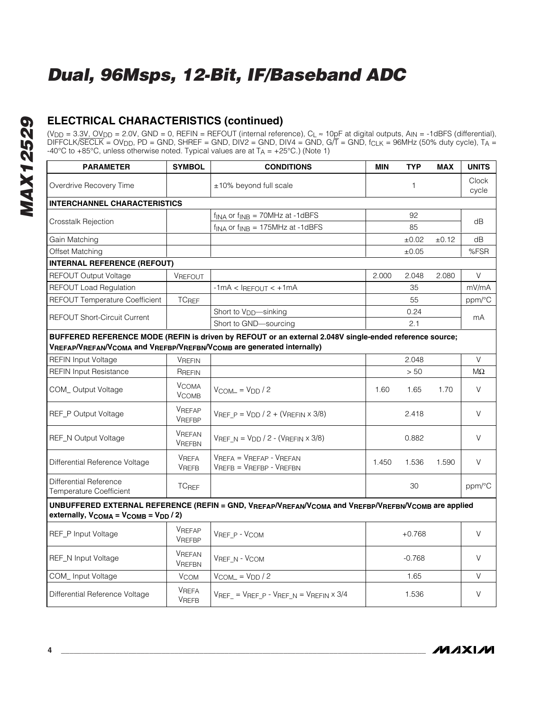### **ELECTRICAL CHARACTERISTICS (continued)**

(VDD = 3.3V, OVDD = 2.0V, GND = 0, REFIN = REFOUT (internal reference), CL ≈ 10pF at digital outputs, AIN = -1dBFS (differential), DIFFCLK/SECLK = OVDD, PD = GND, SHREF = GND, DIV2 = GND, DIV4 = GND, G/T = GND, f<sub>CLK</sub> = 96MHz (50% duty cycle), T<sub>A</sub> = -40°C to +85°C, unless otherwise noted. Typical values are at  $T_A = +25$ °C.) (Note 1)

| <b>PARAMETER</b>                                                                                                                                                                 | <b>SYMBOL</b>                  | <b>CONDITIONS</b>                                                                                   | <b>MIN</b> | <b>TYP</b> | <b>MAX</b> | <b>UNITS</b>   |
|----------------------------------------------------------------------------------------------------------------------------------------------------------------------------------|--------------------------------|-----------------------------------------------------------------------------------------------------|------------|------------|------------|----------------|
| Overdrive Recovery Time                                                                                                                                                          |                                | ±10% beyond full scale                                                                              |            | 1          |            | Clock<br>cycle |
| <b>INTERCHANNEL CHARACTERISTICS</b>                                                                                                                                              |                                |                                                                                                     |            |            |            |                |
|                                                                                                                                                                                  |                                | $f_{\text{INA}}$ or $f_{\text{INB}} = 70$ MHz at -1dBFS                                             |            | 92         |            |                |
| Crosstalk Rejection                                                                                                                                                              |                                | $f_{INA}$ or $f_{INB} = 175 MHz$ at -1dBFS                                                          |            | 85         |            | dB             |
| Gain Matching                                                                                                                                                                    |                                |                                                                                                     |            | ±0.02      | ±0.12      | dB             |
| Offset Matching                                                                                                                                                                  |                                |                                                                                                     |            | ±0.05      |            | %FSR           |
| <b>INTERNAL REFERENCE (REFOUT)</b>                                                                                                                                               |                                |                                                                                                     |            |            |            |                |
| <b>REFOUT Output Voltage</b>                                                                                                                                                     | <b>VREFOUT</b>                 |                                                                                                     | 2.000      | 2.048      | 2.080      | V              |
| <b>REFOUT Load Regulation</b>                                                                                                                                                    |                                | $-1mA < I$ REFOUT $< +1mA$                                                                          |            | 35         |            | mV/mA          |
| REFOUT Temperature Coefficient                                                                                                                                                   | <b>TCREF</b>                   |                                                                                                     |            | 55         |            | ppm/°C         |
| <b>REFOUT Short-Circuit Current</b>                                                                                                                                              |                                | Short to V <sub>DD</sub> -sinking                                                                   |            | 0.24       |            | mA             |
|                                                                                                                                                                                  |                                | Short to GND-sourcing                                                                               |            | 2.1        |            |                |
| BUFFERED REFERENCE MODE (REFIN is driven by REFOUT or an external 2.048V single-ended reference source;<br>VREFAP/VREFAN/VCOMA and VREFBP/VREFBN/VCOMB are generated internally) |                                |                                                                                                     |            |            |            |                |
| <b>REFIN Input Voltage</b>                                                                                                                                                       | <b>VREFIN</b>                  |                                                                                                     |            | 2.048      |            | $\vee$         |
| <b>REFIN Input Resistance</b>                                                                                                                                                    | RREFIN                         |                                                                                                     |            | > 50       |            | MΩ             |
| COM_Output Voltage                                                                                                                                                               | <b>VCOMA</b><br><b>VCOMB</b>   | $V_{COM} = V_{DD} / 2$                                                                              | 1.60       | 1.65       | 1.70       | $\vee$         |
| REF_P Output Voltage                                                                                                                                                             | <b>VREFAP</b><br>VREFBP        | $V_{REF\_P} = V_{DD} / 2 + (V_{REFIN} \times 3/8)$                                                  |            | 2.418      |            | $\vee$         |
| REF_N Output Voltage                                                                                                                                                             | <b>VREFAN</b><br><b>VREFBN</b> | $V_{REF,N} = V_{DD} / 2 - (V_{REFIN} \times 3/8)$                                                   |            | 0.882      |            | $\vee$         |
| Differential Reference Voltage                                                                                                                                                   | <b>VREFA</b><br><b>VREFB</b>   | VREFA = VREFAP - VREFAN<br>$V_{REFB} = V_{REFBP} - V_{REFBN}$                                       | 1.450      | 1.536      | 1.590      | $\vee$         |
| Differential Reference<br>Temperature Coefficient                                                                                                                                | <b>TCREF</b>                   |                                                                                                     |            | 30         |            | ppm/°C         |
| externally, VCOMA = VCOMB = VDD / 2)                                                                                                                                             |                                | UNBUFFERED EXTERNAL REFERENCE (REFIN = GND, VREFAP/VREFAN/VCOMA and VREFBP/VREFBN/VCOMB are applied |            |            |            |                |
| REF_P Input Voltage                                                                                                                                                              | <b>VREFAP</b><br><b>VREFBP</b> | VREF P - VCOM                                                                                       |            | $+0.768$   |            | V              |
| REF_N Input Voltage                                                                                                                                                              | <b>VREFAN</b><br><b>VREFBN</b> | VREF_N - VCOM                                                                                       |            | $-0.768$   |            | $\vee$         |
| COM_Input Voltage                                                                                                                                                                | <b>VCOM</b>                    | $V_{COM} = V_{DD} / 2$                                                                              |            | 1.65       |            | $\vee$         |
| Differential Reference Voltage                                                                                                                                                   | <b>VREFA</b><br><b>VREFB</b>   | $V_{REF}$ = $V_{REF}$ p - $V_{REF}$ N = $V_{REFIN} \times 3/4$                                      |            | 1.536      |            | $\vee$         |

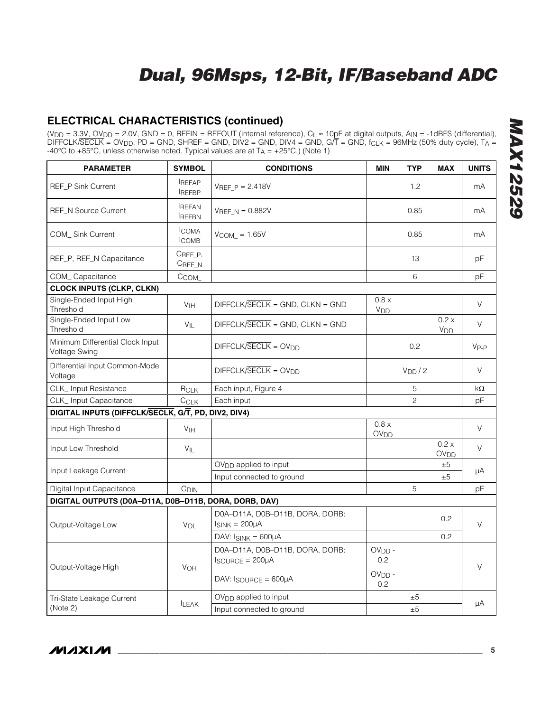### **ELECTRICAL CHARACTERISTICS (continued)**

(V<sub>DD</sub> = 3.3V, OV<sub>DD</sub> = 2.0V, GND = 0, REFIN = REFOUT (internal reference), C<sub>L</sub> ≈ 10pF at digital outputs, A<sub>IN</sub> = -1dBFS (differential), DIFFCLK/SECLK = OVDD, PD = GND, SHREF = GND, DIV2 = GND, DIV4 = GND, G/T = GND, fCLK = 96MHz (50% duty cycle), TA = -40°C to +85°C, unless otherwise noted. Typical values are at  $T_A = +25$ °C.) (Note 1)

| <b>PARAMETER</b>                                      | <b>SYMBOL</b>                 | <b>CONDITIONS</b>                                                  | <b>MIN</b>                      | <b>TYP</b>         | <b>MAX</b>                | <b>UNITS</b> |  |
|-------------------------------------------------------|-------------------------------|--------------------------------------------------------------------|---------------------------------|--------------------|---------------------------|--------------|--|
| REF_P Sink Current                                    | <b>REFAP</b><br><b>REFBP</b>  | $V_{REF}$ $p = 2.418V$                                             |                                 | 1.2                |                           | mA           |  |
| <b>REF N Source Current</b>                           | <b>REFAN</b><br><b>IREFBN</b> | $V_{REF N} = 0.882V$                                               |                                 | 0.85               |                           | mA           |  |
| <b>COM</b> Sink Current                               | <b>ICOMA</b><br><b>COMB</b>   | $V_{COM} = 1.65V$                                                  |                                 | 0.85               |                           | mA           |  |
| REF_P, REF_N Capacitance                              | CREF_P,<br>CREF_N             |                                                                    |                                 | 13                 |                           | рF           |  |
| COM_Capacitance                                       | C <sub>COM</sub>              |                                                                    |                                 | 6                  |                           | рF           |  |
| <b>CLOCK INPUTS (CLKP, CLKN)</b>                      |                               |                                                                    |                                 |                    |                           |              |  |
| Single-Ended Input High<br>Threshold                  | V <sub>IH</sub>               | $DIFFCLK/SECLK = GND, CLKN = GND$                                  | 0.8 x<br><b>V<sub>DD</sub></b>  |                    |                           | V            |  |
| Single-Ended Input Low<br>Threshold                   | $V_{\parallel}$               | $DIFFCLK/SECLK = GND, CLKN = GND$                                  |                                 |                    | 0.2 x<br>V <sub>DD</sub>  | V            |  |
| Minimum Differential Clock Input<br>Voltage Swing     |                               | $DIFFCLK/SECLK = OVDD$                                             |                                 | 0.2                |                           | $V_{P-P}$    |  |
| Differential Input Common-Mode<br>Voltage             |                               | $DIFFCK/SECLK = OVDD$                                              |                                 | V <sub>DD</sub> /2 |                           | V            |  |
| CLK_Input Resistance                                  | $R_{CLK}$                     | Each input, Figure 4                                               |                                 | 5                  |                           | kΩ           |  |
| CLK_Input Capacitance                                 | CCLK                          | Each input                                                         |                                 | 2                  |                           | рF           |  |
| DIGITAL INPUTS (DIFFCLK/SECLK, G/T, PD, DIV2, DIV4)   |                               |                                                                    |                                 |                    |                           |              |  |
| Input High Threshold                                  | V <sub>IH</sub>               |                                                                    | 0.8 x<br><b>OV<sub>DD</sub></b> |                    |                           | V            |  |
| Input Low Threshold                                   | $V_{IL}$                      |                                                                    |                                 |                    | 0.2 x<br>OV <sub>DD</sub> | $\vee$       |  |
| Input Leakage Current                                 |                               | OV <sub>DD</sub> applied to input                                  |                                 |                    | ±5                        | μA           |  |
|                                                       |                               | Input connected to ground                                          |                                 |                    | ±5                        |              |  |
| Digital Input Capacitance                             | C <sub>DIN</sub>              |                                                                    |                                 | 5                  |                           | рF           |  |
| DIGITAL OUTPUTS (D0A-D11A, D0B-D11B, DORA, DORB, DAV) |                               |                                                                    |                                 |                    |                           |              |  |
| Output-Voltage Low                                    | VOL                           | D0A-D11A, D0B-D11B, DORA, DORB:<br>$ISINK = 200µA$                 |                                 |                    | 0.2                       | $\vee$       |  |
|                                                       |                               | DAV: $I_{SINK} = 600\mu A$                                         |                                 |                    | 0.2                       |              |  |
|                                                       |                               | D0A-D11A, D0B-D11B, DORA, DORB:<br>$I_{\text{SOURCE}} = 200 \mu A$ | $OVDD -$<br>0.2                 |                    |                           | $\vee$       |  |
| Output-Voltage High                                   | <b>VOH</b>                    | $DAV: IgOURCE = 600µA$                                             | $OVDD -$<br>0.2                 |                    |                           |              |  |
| Tri-State Leakage Current                             |                               | $OVDD$ applied to input                                            |                                 | ±5                 |                           |              |  |
| (Note 2)                                              | <b>LEAK</b>                   | Input connected to ground                                          |                                 | ±5                 |                           | μA           |  |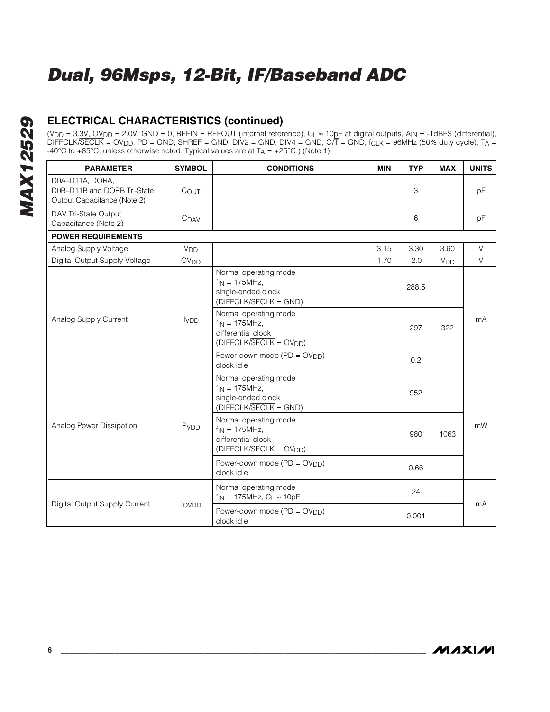### **ELECTRICAL CHARACTERISTICS (continued)**

(VDD = 3.3V, OVDD = 2.0V, GND = 0, REFIN = REFOUT (internal reference), CL ≈ 10pF at digital outputs, AIN = -1dBFS (differential), DIFFCLK/SECLK = OVDD, PD = GND, SHREF = GND, DIV2 = GND, DIV4 = GND, G/T = GND, f<sub>CLK</sub> = 96MHz (50% duty cycle), T<sub>A</sub> = -40°C to +85°C, unless otherwise noted. Typical values are at  $T_A = +25$ °C.) (Note 1)

| <b>PARAMETER</b>                                                              | <b>SYMBOL</b>          | <b>CONDITIONS</b>                                                                              | <b>MIN</b> | <b>TYP</b> | <b>MAX</b>      | <b>UNITS</b> |
|-------------------------------------------------------------------------------|------------------------|------------------------------------------------------------------------------------------------|------------|------------|-----------------|--------------|
| D0A-D11A, DORA,<br>D0B-D11B and DORB Tri-State<br>Output Capacitance (Note 2) | COUT                   |                                                                                                |            | 3          |                 | рF           |
| DAV Tri-State Output<br>Capacitance (Note 2)                                  | C <sub>DAV</sub>       |                                                                                                |            | 6          |                 | pF           |
| <b>POWER REQUIREMENTS</b>                                                     |                        |                                                                                                |            |            |                 |              |
| Analog Supply Voltage                                                         | V <sub>DD</sub>        |                                                                                                | 3.15       | 3.30       | 3.60            | V            |
| Digital Output Supply Voltage                                                 | <b>OV<sub>DD</sub></b> |                                                                                                | 1.70       | 2.0        | V <sub>DD</sub> | $\vee$       |
|                                                                               |                        | Normal operating mode<br>$f_{IN} = 175MHz$ ,<br>single-ended clock<br>$(DIFFCLK/SECLK = GND)$  |            | 288.5      |                 |              |
| Analog Supply Current                                                         | <b>IVDD</b>            | Normal operating mode<br>$f_{IN} = 175MHz$ ,<br>differential clock<br>$(DIFFCLK/SECLK = OVDD)$ |            | 297        | 322             | mA           |
|                                                                               |                        | Power-down mode $(PD = OV_{DD})$<br>clock idle                                                 |            | 0.2        |                 |              |
|                                                                               |                        | Normal operating mode<br>$f_{IN} = 175MHz$ ,<br>single-ended clock<br>$(DIFFCLK/SECLK = GND)$  |            | 952        |                 |              |
| Analog Power Dissipation                                                      | PvDD                   | Normal operating mode<br>$f_{IN} = 175MHz$ ,<br>differential clock<br>$(DIFFCLK/SECLK = OVDD)$ |            | 980        | 1063            | mW           |
|                                                                               |                        | Power-down mode (PD = OV <sub>DD</sub> )<br>clock idle                                         |            | 0.66       |                 |              |
| Digital Output Supply Current                                                 | <b>lovpp</b>           | Normal operating mode<br>$f_{IN}$ = 175MHz, $C_L \approx 10pF$                                 |            | 24         |                 | mA           |
|                                                                               |                        | Power-down mode (PD = OV <sub>DD</sub> )<br>clock idle                                         |            | 0.001      |                 |              |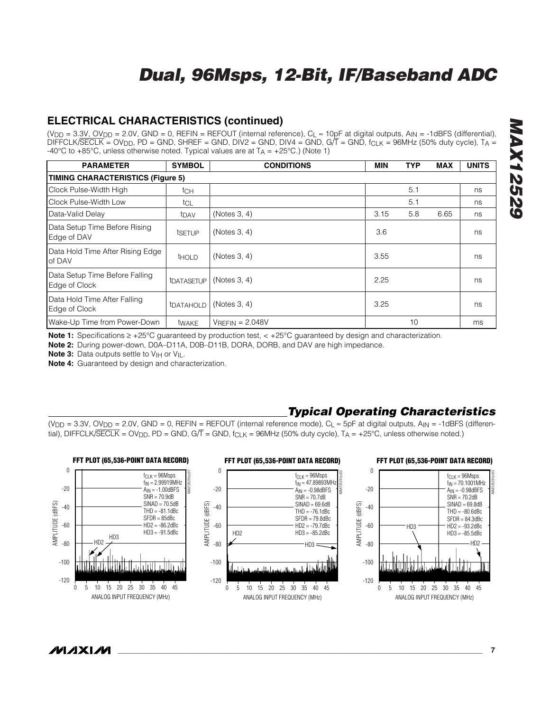### **ELECTRICAL CHARACTERISTICS (continued)**

(VDD = 3.3V, OVDD = 2.0V, GND = 0, REFIN = REFOUT (internal reference), CL ≈ 10pF at digital outputs, AIN = -1dBFS (differential), DIFFCLK/SECLK = OVDD, PD = GND, SHREF = GND, DIV2 = GND, DIV4 = GND,  $G/\overline{T}$  = GND,  $f_{CLK}$  = 96MHz (50% duty cycle), TA = -40°C to +85°C, unless otherwise noted. Typical values are at  $T_A$  = +25°C.) (Note 1)

| <b>PARAMETER</b>                                | <b>SYMBOL</b>           | <b>CONDITIONS</b>  | <b>MIN</b> | <b>TYP</b> | <b>MAX</b> | <b>UNITS</b> |  |  |  |
|-------------------------------------------------|-------------------------|--------------------|------------|------------|------------|--------------|--|--|--|
| <b>TIMING CHARACTERISTICS (Figure 5)</b>        |                         |                    |            |            |            |              |  |  |  |
| Clock Pulse-Width High                          | tch                     |                    |            | 5.1        |            | ns           |  |  |  |
| Clock Pulse-Width Low                           | tcl                     |                    |            | 5.1        |            | ns           |  |  |  |
| Data-Valid Delay                                | t <sub>DAV</sub>        | (Notes 3, 4)       | 3.15       | 5.8        | 6.65       | ns           |  |  |  |
| Data Setup Time Before Rising<br>Edge of DAV    | tsetup                  | (Notes 3, 4)       | 3.6        |            |            | ns           |  |  |  |
| Data Hold Time After Rising Edge<br>of DAV      | <b>THOLD</b>            | (Notes 3, 4)       | 3.55       |            |            | ns           |  |  |  |
| Data Setup Time Before Falling<br>Edge of Clock | tDATASETUP              | (Notes 3, 4)       | 2.25       |            |            | ns           |  |  |  |
| Data Hold Time After Falling<br>Edge of Clock   | <b><i>IDATAHOLD</i></b> | (Notes 3, 4)       | 3.25       |            |            | ns           |  |  |  |
| Wake-Up Time from Power-Down                    | twake                   | $V$ REFIN = 2.048V |            | 10         |            | ms           |  |  |  |

**Note 1:** Specifications ≥ +25°C guaranteed by production test, < +25°C guaranteed by design and characterization.

**Note 2:** During power-down, D0A–D11A, D0B–D11B, DORA, DORB, and DAV are high impedance.

**Note 3:** Data outputs settle to V<sub>IH</sub> or V<sub>IL</sub>.

**Note 4:** Guaranteed by design and characterization.

### *Typical Operating Characteristics*

(V<sub>DD</sub> = 3.3V, OV<sub>DD</sub> = 2.0V, GND = 0, REFIN = REFOUT (internal reference mode), C<sub>L</sub>  $\approx$  5pF at digital outputs, A<sub>IN</sub> = -1dBFS (differential), DIFFCLK/SECLK = OV<sub>DD</sub>, PD = GND, G/T = GND, f<sub>CLK</sub> = 96MHz (50% duty cycle), T<sub>A</sub> = +25°C, unless otherwise noted.)



**MAXIM** 

MAX12529 toc03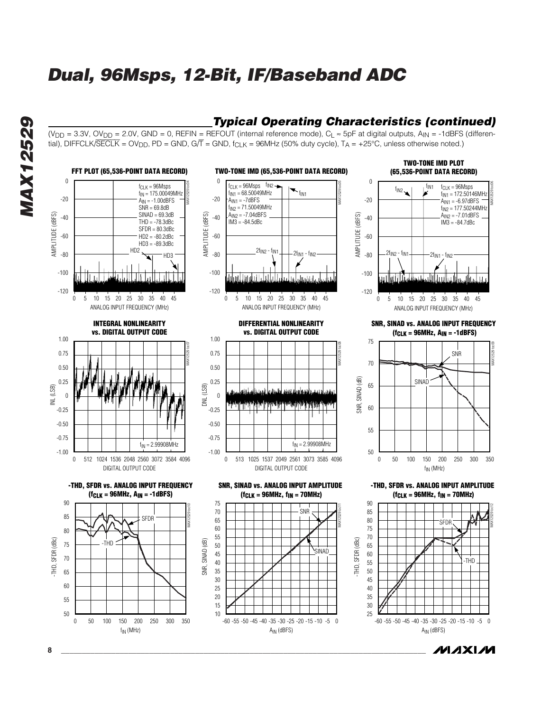### *Typical Operating Characteristics (continued)*

(V<sub>DD</sub> = 3.3V, OV<sub>DD</sub> = 2.0V, GND = 0, REFIN = REFOUT (internal reference mode), C<sub>L</sub> ≈ 5pF at digital outputs, A<sub>IN</sub> = -1dBFS (differential), DIFFCLK/SECLK = OV<sub>DD</sub>, PD = GND, G/T = GND, f<sub>CLK</sub> = 96MHz (50% duty cycle), T<sub>A</sub> = +25°C, unless otherwise noted.)



**8 \_\_\_\_\_\_\_\_\_\_\_\_\_\_\_\_\_\_\_\_\_\_\_\_\_\_\_\_\_\_\_\_\_\_\_\_\_\_\_\_\_\_\_\_\_\_\_\_\_\_\_\_\_\_\_\_\_\_\_\_\_\_\_\_\_\_\_\_\_\_\_\_\_\_\_\_\_\_\_\_\_\_\_\_\_\_\_**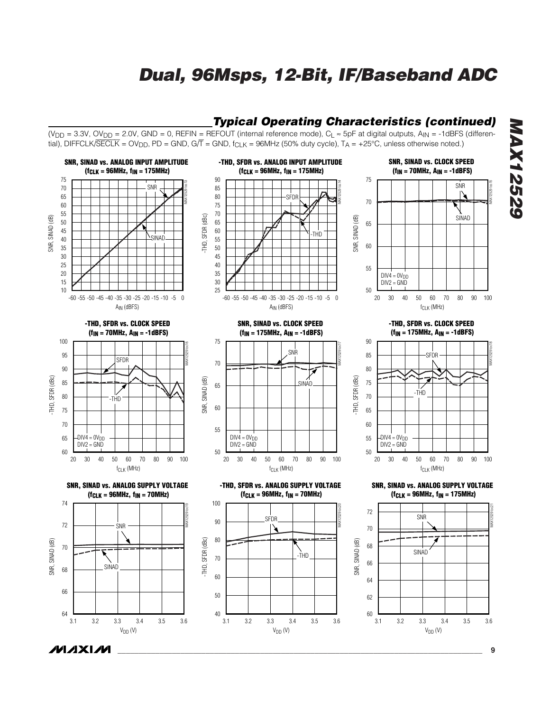### *Typical Operating Characteristics (continued)*

(V<sub>DD</sub> = 3.3V, OV<sub>DD</sub> = 2.0V, GND = 0, REFIN = REFOUT (internal reference mode), C<sub>L</sub> ≈ 5pF at digital outputs, A<sub>IN</sub> = -1dBFS (differential), DIFFCLK/SECLK = OV<sub>DD</sub>, PD = GND, G/T = GND, f<sub>CLK</sub> = 96MHz (50% duty cycle), T<sub>A</sub> = +25°C, unless otherwise noted.)

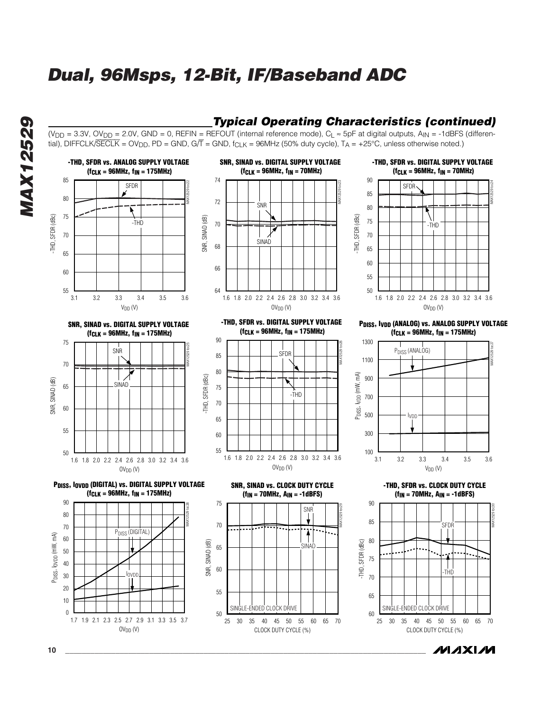### *Typical Operating Characteristics (continued)*

/VI *A* XI /VI

(V<sub>DD</sub> = 3.3V, OV<sub>DD</sub> = 2.0V, GND = 0, REFIN = REFOUT (internal reference mode), C<sub>L</sub> ≈ 5pF at digital outputs, A<sub>IN</sub> = -1dBFS (differential), DIFFCLK/SECLK = OV<sub>DD</sub>, PD = GND, G/T = GND, f<sub>CLK</sub> = 96MHz (50% duty cycle), T<sub>A</sub> = +25°C, unless otherwise noted.)



**10 \_\_\_\_\_\_\_\_\_\_\_\_\_\_\_\_\_\_\_\_\_\_\_\_\_\_\_\_\_\_\_\_\_\_\_\_\_\_\_\_\_\_\_\_\_\_\_\_\_\_\_\_\_\_\_\_\_\_\_\_\_\_\_\_\_\_\_\_\_\_\_\_\_\_\_\_\_\_\_\_\_\_\_\_\_\_**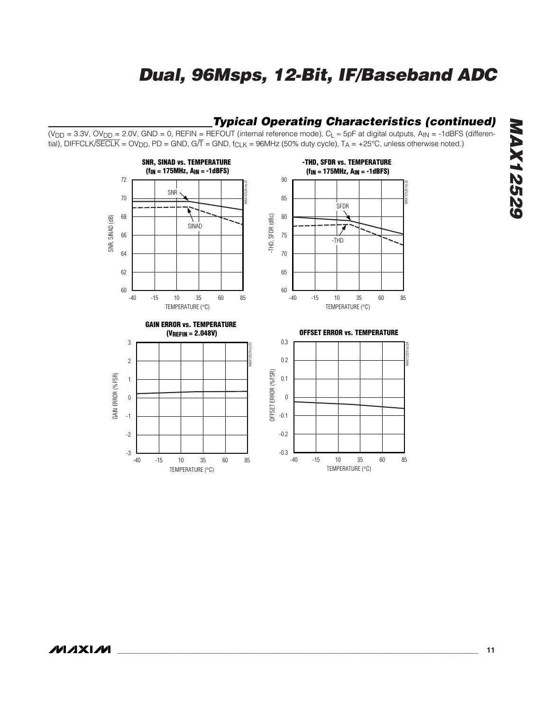### *Typical Operating Characteristics (continued)*

(V<sub>DD</sub> = 3.3V, OV<sub>DD</sub> = 2.0V, GND = 0, REFIN = REFOUT (internal reference mode), C<sub>L</sub> ≈ 5pF at digital outputs, A<sub>IN</sub> = -1dBFS (differential), DIFFCLK/SECLK = OV<sub>DD</sub>, PD = GND, G/T = GND, f<sub>CLK</sub> = 96MHz (50% duty cycle), T<sub>A</sub> = +25°C, unless otherwise noted.)



# **MAX12529** *MAX12529*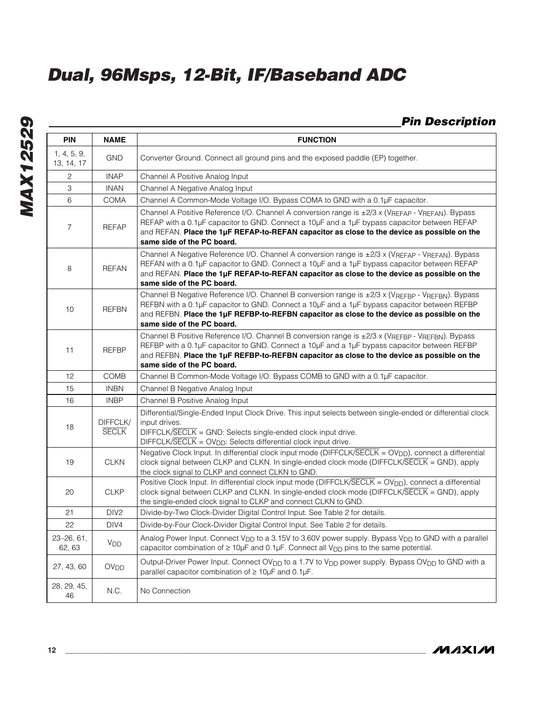### *Pin Description*

| <b>PIN</b>                | <b>NAME</b>              | <b>FUNCTION</b>                                                                                                                                                                                                                                                                                                                    |
|---------------------------|--------------------------|------------------------------------------------------------------------------------------------------------------------------------------------------------------------------------------------------------------------------------------------------------------------------------------------------------------------------------|
| 1, 4, 5, 9,<br>13, 14, 17 | <b>GND</b>               | Converter Ground. Connect all ground pins and the exposed paddle (EP) together.                                                                                                                                                                                                                                                    |
| 2                         | <b>INAP</b>              | Channel A Positive Analog Input                                                                                                                                                                                                                                                                                                    |
| 3                         | <b>INAN</b>              | Channel A Negative Analog Input                                                                                                                                                                                                                                                                                                    |
| 6                         | <b>COMA</b>              | Channel A Common-Mode Voltage I/O. Bypass COMA to GND with a 0.1µF capacitor.                                                                                                                                                                                                                                                      |
| $\overline{7}$            | <b>REFAP</b>             | Channel A Positive Reference I/O. Channel A conversion range is ±2/3 x (VREFAP - VREFAN). Bypass<br>REFAP with a 0.1µF capacitor to GND. Connect a 10µF and a 1µF bypass capacitor between REFAP<br>and REFAN. Place the 1µF REFAP-to-REFAN capacitor as close to the device as possible on the<br>same side of the PC board.      |
| 8                         | <b>REFAN</b>             | Channel A Negative Reference I/O. Channel A conversion range is $\pm$ 2/3 x (VREFAP - VREFAN). Bypass<br>REFAN with a 0.1µF capacitor to GND. Connect a 10µF and a 1µF bypass capacitor between REFAP<br>and REFAN. Place the 1µF REFAP-to-REFAN capacitor as close to the device as possible on the<br>same side of the PC board. |
| 10                        | <b>REFBN</b>             | Channel B Negative Reference I/O. Channel B conversion range is ±2/3 x (VREFBP - VREFBN). Bypass<br>REFBN with a 0.1µF capacitor to GND. Connect a 10µF and a 1µF bypass capacitor between REFBP<br>and REFBN. Place the 1µF REFBP-to-REFBN capacitor as close to the device as possible on the<br>same side of the PC board.      |
| 11                        | <b>REFBP</b>             | Channel B Positive Reference I/O. Channel B conversion range is ±2/3 x (VREFBP - VREFBN). Bypass<br>REFBP with a 0.1µF capacitor to GND. Connect a 10µF and a 1µF bypass capacitor between REFBP<br>and REFBN. Place the 1µF REFBP-to-REFBN capacitor as close to the device as possible on the<br>same side of the PC board.      |
| 12                        | <b>COMB</b>              | Channel B Common-Mode Voltage I/O. Bypass COMB to GND with a 0.1µF capacitor.                                                                                                                                                                                                                                                      |
| 15                        | <b>INBN</b>              | Channel B Negative Analog Input                                                                                                                                                                                                                                                                                                    |
| 16                        | <b>INBP</b>              | Channel B Positive Analog Input                                                                                                                                                                                                                                                                                                    |
| 18                        | DIFFCLK/<br><b>SECLK</b> | Differential/Single-Ended Input Clock Drive. This input selects between single-ended or differential clock<br>input drives.<br>$DIFFCLK/SECLK = GND$ : Selects single-ended clock input drive.<br>DIFFCLK/SECLK = OV <sub>DD</sub> : Selects differential clock input drive.                                                       |
| 19                        | <b>CLKN</b>              | Negative Clock Input. In differential clock input mode (DIFFCLK/SECLK = OV <sub>DD</sub> ), connect a differential<br>clock signal between CLKP and CLKN. In single-ended clock mode ( $DIFFCLK/\overline{SECLK} = GND$ ), apply<br>the clock signal to CLKP and connect CLKN to GND.                                              |
| 20                        | <b>CLKP</b>              | Positive Clock Input. In differential clock input mode (DIFFCLK/SECLK = OV <sub>DD</sub> ), connect a differential<br>clock signal between CLKP and CLKN. In single-ended clock mode (DIFFCLK/SECLK = GND), apply<br>the single-ended clock signal to CLKP and connect CLKN to GND.                                                |
| 21                        | DIV <sub>2</sub>         | Divide-by-Two Clock-Divider Digital Control Input. See Table 2 for details.                                                                                                                                                                                                                                                        |
| 22                        | DIV4                     | Divide-by-Four Clock-Divider Digital Control Input. See Table 2 for details.                                                                                                                                                                                                                                                       |
| $23 - 26, 61$<br>62, 63   | V <sub>DD</sub>          | Analog Power Input. Connect V <sub>DD</sub> to a 3.15V to 3.60V power supply. Bypass V <sub>DD</sub> to GND with a parallel<br>capacitor combination of ≥ 10µF and 0.1µF. Connect all V <sub>DD</sub> pins to the same potential.                                                                                                  |
| 27, 43, 60                | <b>OV<sub>DD</sub></b>   | Output-Driver Power Input. Connect OV <sub>DD</sub> to a 1.7V to V <sub>DD</sub> power supply. Bypass OV <sub>DD</sub> to GND with a<br>parallel capacitor combination of $\geq 10 \mu F$ and 0.1 $\mu F$ .                                                                                                                        |
| 28, 29, 45,<br>46         | N.C.                     | No Connection                                                                                                                                                                                                                                                                                                                      |

**MAXIM**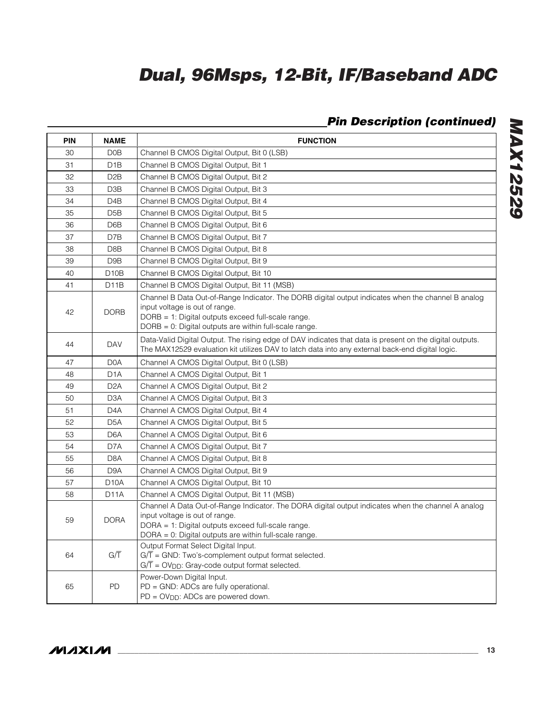## *Pin Description (continued)*

| <b>PIN</b> | <b>NAME</b>       | <b>FUNCTION</b>                                                                                                                                                                                                                                      |
|------------|-------------------|------------------------------------------------------------------------------------------------------------------------------------------------------------------------------------------------------------------------------------------------------|
| 30         | D <sub>0</sub> B  | Channel B CMOS Digital Output, Bit 0 (LSB)                                                                                                                                                                                                           |
| 31         | D <sub>1</sub> B  | Channel B CMOS Digital Output, Bit 1                                                                                                                                                                                                                 |
| 32         | D <sub>2</sub> B  | Channel B CMOS Digital Output, Bit 2                                                                                                                                                                                                                 |
| 33         | D <sub>3</sub> B  | Channel B CMOS Digital Output, Bit 3                                                                                                                                                                                                                 |
| 34         | D <sub>4</sub> B  | Channel B CMOS Digital Output, Bit 4                                                                                                                                                                                                                 |
| 35         | D <sub>5</sub> B  | Channel B CMOS Digital Output, Bit 5                                                                                                                                                                                                                 |
| 36         | D6B               | Channel B CMOS Digital Output, Bit 6                                                                                                                                                                                                                 |
| 37         | D7B               | Channel B CMOS Digital Output, Bit 7                                                                                                                                                                                                                 |
| 38         | D8B               | Channel B CMOS Digital Output, Bit 8                                                                                                                                                                                                                 |
| 39         | D <sub>9</sub> B  | Channel B CMOS Digital Output, Bit 9                                                                                                                                                                                                                 |
| 40         | D <sub>10</sub> B | Channel B CMOS Digital Output, Bit 10                                                                                                                                                                                                                |
| 41         | D11B              | Channel B CMOS Digital Output, Bit 11 (MSB)                                                                                                                                                                                                          |
| 42         | <b>DORB</b>       | Channel B Data Out-of-Range Indicator. The DORB digital output indicates when the channel B analog<br>input voltage is out of range.<br>DORB = 1: Digital outputs exceed full-scale range.<br>DORB = 0: Digital outputs are within full-scale range. |
| 44         | <b>DAV</b>        | Data-Valid Digital Output. The rising edge of DAV indicates that data is present on the digital outputs.<br>The MAX12529 evaluation kit utilizes DAV to latch data into any external back-end digital logic.                                         |
| 47         | D <sub>0</sub> A  | Channel A CMOS Digital Output, Bit 0 (LSB)                                                                                                                                                                                                           |
| 48         | D1A               | Channel A CMOS Digital Output, Bit 1                                                                                                                                                                                                                 |
| 49         | D <sub>2</sub> A  | Channel A CMOS Digital Output, Bit 2                                                                                                                                                                                                                 |
| 50         | D <sub>3</sub> A  | Channel A CMOS Digital Output, Bit 3                                                                                                                                                                                                                 |
| 51         | D <sub>4</sub> A  | Channel A CMOS Digital Output, Bit 4                                                                                                                                                                                                                 |
| 52         | D <sub>5</sub> A  | Channel A CMOS Digital Output, Bit 5                                                                                                                                                                                                                 |
| 53         | D <sub>6</sub> A  | Channel A CMOS Digital Output, Bit 6                                                                                                                                                                                                                 |
| 54         | D7A               | Channel A CMOS Digital Output, Bit 7                                                                                                                                                                                                                 |
| 55         | D <sub>8</sub> A  | Channel A CMOS Digital Output, Bit 8                                                                                                                                                                                                                 |
| 56         | D <sub>9</sub> A  | Channel A CMOS Digital Output, Bit 9                                                                                                                                                                                                                 |
| 57         | D <sub>10</sub> A | Channel A CMOS Digital Output, Bit 10                                                                                                                                                                                                                |
| 58         | D <sub>1</sub> 1A | Channel A CMOS Digital Output, Bit 11 (MSB)                                                                                                                                                                                                          |
| 59         | <b>DORA</b>       | Channel A Data Out-of-Range Indicator. The DORA digital output indicates when the channel A analog<br>input voltage is out of range.<br>DORA = 1: Digital outputs exceed full-scale range.<br>DORA = 0: Digital outputs are within full-scale range. |
| 64         | G/T               | Output Format Select Digital Input.<br>$G/\overline{T}$ = GND: Two's-complement output format selected.<br>$G/\overline{T}$ = OV <sub>DD</sub> : Gray-code output format selected.                                                                   |
| 65         | PD                | Power-Down Digital Input.<br>PD = GND: ADCs are fully operational.<br>$PD = OV_{DD}$ : ADCs are powered down.                                                                                                                                        |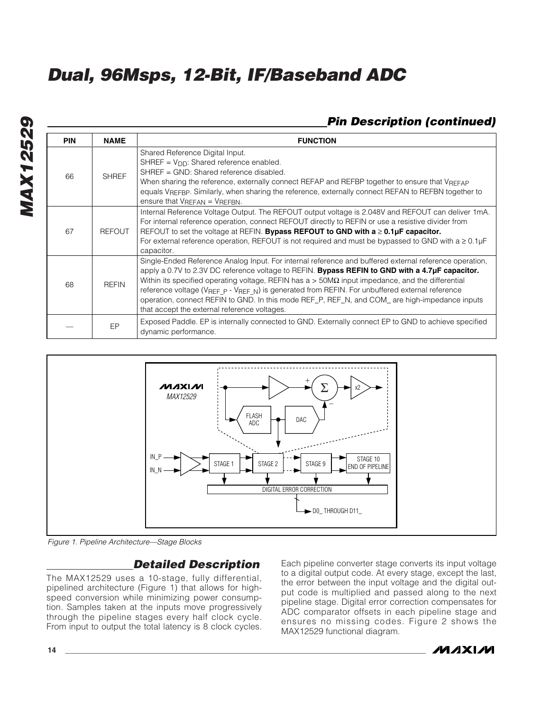### *Pin Description (continued)*

| <b>PIN</b> | <b>NAME</b>   | <b>FUNCTION</b>                                                                                                                                                                                                                                                                                                                                                                                                                                                                                                                                                                            |
|------------|---------------|--------------------------------------------------------------------------------------------------------------------------------------------------------------------------------------------------------------------------------------------------------------------------------------------------------------------------------------------------------------------------------------------------------------------------------------------------------------------------------------------------------------------------------------------------------------------------------------------|
| 66         | <b>SHREF</b>  | Shared Reference Digital Input.<br>$SHREF = V_{DD}$ : Shared reference enabled.<br>SHREF = GND: Shared reference disabled.<br>When sharing the reference, externally connect REFAP and REFBP together to ensure that VREFAP<br>equals VREFBP. Similarly, when sharing the reference, externally connect REFAN to REFBN together to<br>ensure that $V_{REFAN} = V_{REFBN}$ .                                                                                                                                                                                                                |
| 67         | <b>REFOUT</b> | Internal Reference Voltage Output. The REFOUT output voltage is 2.048V and REFOUT can deliver 1mA.<br>For internal reference operation, connect REFOUT directly to REFIN or use a resistive divider from<br>REFOUT to set the voltage at REFIN. Bypass REFOUT to GND with $a \ge 0.1 \mu F$ capacitor.<br>For external reference operation, REFOUT is not required and must be bypassed to GND with $a \ge 0.1 \mu F$<br>capacitor.                                                                                                                                                        |
| 68         | <b>REFIN</b>  | Single-Ended Reference Analog Input. For internal reference and buffered external reference operation,<br>apply a 0.7V to 2.3V DC reference voltage to REFIN. <b>Bypass REFIN to GND with a 4.7µF capacitor.</b><br>Within its specified operating voltage, REFIN has $a > 50M\Omega$ input impedance, and the differential<br>reference voltage ( $V_{REF}$ p - $V_{REF}$ N) is generated from REFIN. For unbuffered external reference<br>operation, connect REFIN to GND. In this mode REF_P, REF_N, and COM_ are high-impedance inputs<br>that accept the external reference voltages. |
|            | EP            | Exposed Paddle. EP is internally connected to GND. Externally connect EP to GND to achieve specified<br>dynamic performance.                                                                                                                                                                                                                                                                                                                                                                                                                                                               |



*Figure 1. Pipeline Architecture—Stage Blocks*

### *Detailed Description*

The MAX12529 uses a 10-stage, fully differential, pipelined architecture (Figure 1) that allows for highspeed conversion while minimizing power consumption. Samples taken at the inputs move progressively through the pipeline stages every half clock cycle. From input to output the total latency is 8 clock cycles.

Each pipeline converter stage converts its input voltage to a digital output code. At every stage, except the last, the error between the input voltage and the digital output code is multiplied and passed along to the next pipeline stage. Digital error correction compensates for ADC comparator offsets in each pipeline stage and ensures no missing codes. Figure 2 shows the MAX12529 functional diagram.

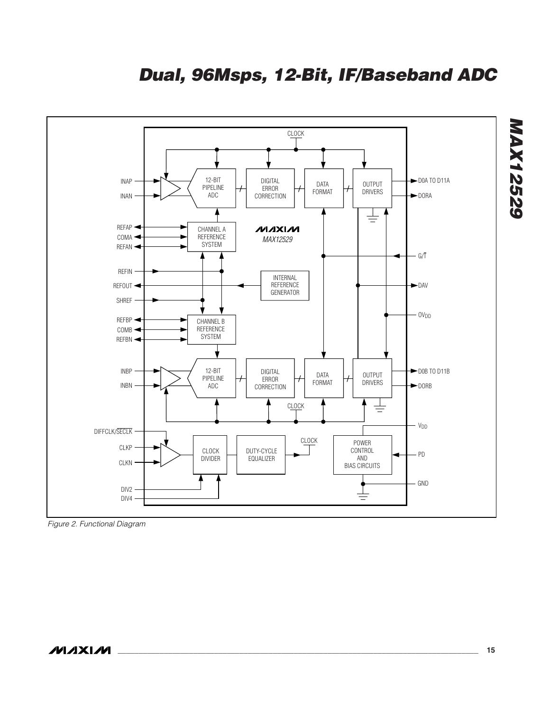

*Figure 2. Functional Diagram*

*MAX12529*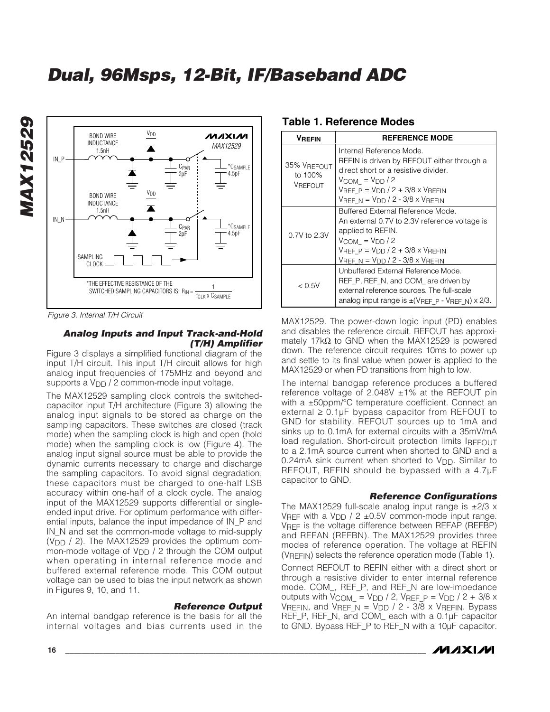

*Figure 3. Internal T/H Circuit*

#### *Analog Inputs and Input Track-and-Hold (T/H) Amplifier*

Figure 3 displays a simplified functional diagram of the input T/H circuit. This input T/H circuit allows for high analog input frequencies of 175MHz and beyond and supports a  $V_{DD}$  / 2 common-mode input voltage.

The MAX12529 sampling clock controls the switchedcapacitor input T/H architecture (Figure 3) allowing the analog input signals to be stored as charge on the sampling capacitors. These switches are closed (track mode) when the sampling clock is high and open (hold mode) when the sampling clock is low (Figure 4). The analog input signal source must be able to provide the dynamic currents necessary to charge and discharge the sampling capacitors. To avoid signal degradation, these capacitors must be charged to one-half LSB accuracy within one-half of a clock cycle. The analog input of the MAX12529 supports differential or singleended input drive. For optimum performance with differential inputs, balance the input impedance of IN\_P and IN\_N and set the common-mode voltage to mid-supply ( $V_{\text{DD}}$  / 2). The MAX12529 provides the optimum common-mode voltage of  $V_{DD}$  / 2 through the COM output when operating in internal reference mode and buffered external reference mode. This COM output voltage can be used to bias the input network as shown in Figures 9, 10, and 11.

#### *Reference Output*

An internal bandgap reference is the basis for all the internal voltages and bias currents used in the

| <b>VREFIN</b>                            | <b>REFERENCE MODE</b>                                                                                                                                                                                                               |  |  |
|------------------------------------------|-------------------------------------------------------------------------------------------------------------------------------------------------------------------------------------------------------------------------------------|--|--|
| 35% VREFOUT<br>to 100%<br><b>VREFOUT</b> | Internal Reference Mode.<br>REFIN is driven by REFOUT either through a<br>direct short or a resistive divider.<br>$V_{COM} = V_{DD}/2$<br>$V_{REF}$ $p = V_{DD}/2 + 3/8 \times V_{REFIN}$<br>VREF $N = VDD / 2 - 3/8 \times VREFIN$ |  |  |
| 0.7V to 2.3V                             | Buffered External Reference Mode.<br>An external 0.7V to 2.3V reference voltage is<br>applied to REFIN.<br>$V_{COM} = V_{DD} / 2$<br>$V$ REF P = $V$ DD / 2 + 3/8 x $V$ REFIN<br>$V_{REF\_N}$ = $V_{DD}$ / 2 - 3/8 x $V_{REFIN}$    |  |  |
| < 0.5V                                   | Unbuffered External Reference Mode.<br>REF P, REF N, and COM are driven by<br>external reference sources. The full-scale<br>analog input range is $\pm$ (VREF P - VREF N) $\times$ 2/3.                                             |  |  |

#### **Table 1. Reference Modes**

MAX12529. The power-down logic input (PD) enables and disables the reference circuit. REFOUT has approximately 17k $\Omega$  to GND when the MAX12529 is powered down. The reference circuit requires 10ms to power up and settle to its final value when power is applied to the MAX12529 or when PD transitions from high to low.

The internal bandgap reference produces a buffered reference voltage of 2.048V  $\pm$ 1% at the REFOUT pin with a ±50ppm/<sup>°</sup>C temperature coefficient. Connect an external  $\geq 0.1$ µF bypass capacitor from REFOUT to GND for stability. REFOUT sources up to 1mA and sinks up to 0.1mA for external circuits with a 35mV/mA load regulation. Short-circuit protection limits IREFOUT to a 2.1mA source current when shorted to GND and a 0.24mA sink current when shorted to  $V_{DD}$ . Similar to REFOUT, REFIN should be bypassed with a 4.7µF capacitor to GND.

#### *Reference Configurations*

The MAX12529 full-scale analog input range is  $\pm 2/3$  x VREF with a V<sub>DD</sub> / 2  $\pm$ 0.5V common-mode input range. VREF is the voltage difference between REFAP (REFBP) and REFAN (REFBN). The MAX12529 provides three modes of reference operation. The voltage at REFIN (VREFIN) selects the reference operation mode (Table 1).

Connect REFOUT to REFIN either with a direct short or through a resistive divider to enter internal reference mode. COM\_, REF\_P, and REF\_N are low-impedance outputs with  $V_{COM} = V_{DD} / 2$ , VREF P = V<sub>DD</sub> / 2 + 3/8 x VREFIN, and VREF N = V<sub>DD</sub> / 2 - 3/8 x VREFIN. Bypass REF\_P, REF\_N, and COM\_ each with a 0.1µF capacitor to GND. Bypass REF\_P to REF\_N with a 10µF capacitor.

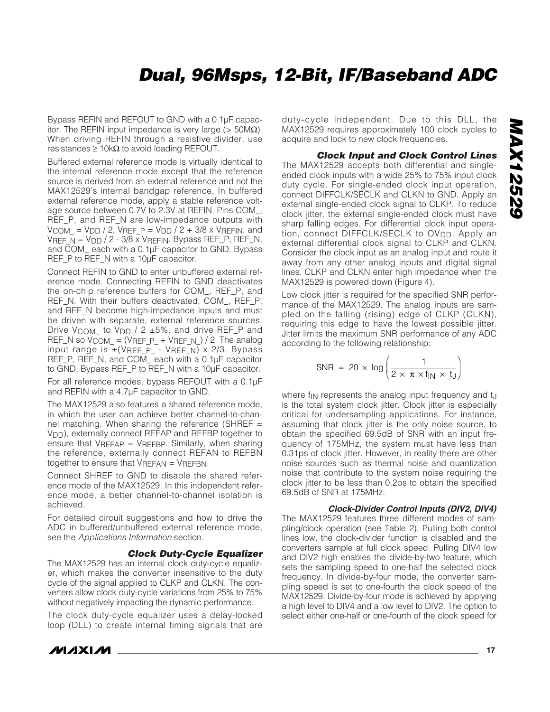Bypass REFIN and REFOUT to GND with a 0.1µF capacitor. The REFIN input impedance is very large ( $> 50M\Omega$ ). When driving REFIN through a resistive divider, use resistances  $\geq 10k\Omega$  to avoid loading REFOUT.

Buffered external reference mode is virtually identical to the internal reference mode except that the reference source is derived from an external reference and not the MAX12529's internal bandgap reference. In buffered external reference mode, apply a stable reference voltage source between 0.7V to 2.3V at REFIN. Pins COM\_, REF\_P, and REF\_N are low-impedance outputs with  $V_{\text{COM}} = V_{\text{DD}} / 2$ , VREF  $P = V_{\text{DD}} / 2 + 3/8$  x VREFIN, and VREF  $N = VDD / 2 - 3/8 \times VREFIN$ . Bypass REF\_P, REF\_N, and COM\_ each with a 0.1µF capacitor to GND. Bypass REF\_P to REF\_N with a 10µF capacitor.

Connect REFIN to GND to enter unbuffered external reference mode. Connecting REFIN to GND deactivates the on-chip reference buffers for COM\_, REF\_P, and REF\_N. With their buffers deactivated, COM\_, REF\_P, and REF\_N become high-impedance inputs and must be driven with separate, external reference sources. Drive V<sub>COM</sub> to V<sub>DD</sub> / 2 ±5%, and drive REF\_P and REF\_N so  $V_{COM} = (V_{REF\_P_{+}} V_{REF\_N_{-}})/2$ . The analog input range is ±(VREF\_P\_ - VREF\_N) x 2/3. Bypass REF\_P, REF\_N, and COM\_ each with a 0.1µF capacitor to GND. Bypass REF\_P to REF\_N with a 10µF capacitor.

For all reference modes, bypass REFOUT with a 0.1µF and REFIN with a 4.7µF capacitor to GND.

The MAX12529 also features a shared reference mode, in which the user can achieve better channel-to-channel matching. When sharing the reference (SHREF = VDD), externally connect REFAP and REFBP together to ensure that  $V_{REFAP} = V_{REFBP}$ . Similarly, when sharing the reference, externally connect REFAN to REFBN together to ensure that VREFAN = VREFBN.

Connect SHREF to GND to disable the shared reference mode of the MAX12529. In this independent reference mode, a better channel-to-channel isolation is achieved.

For detailed circuit suggestions and how to drive the ADC in buffered/unbuffered external reference mode, see the *Applications Information* section.

#### *Clock Duty-Cycle Equalizer*

The MAX12529 has an internal clock duty-cycle equalizer, which makes the converter insensitive to the duty cycle of the signal applied to CLKP and CLKN. The converters allow clock duty-cycle variations from 25% to 75% without negatively impacting the dynamic performance.

The clock duty-cycle equalizer uses a delay-locked loop (DLL) to create internal timing signals that are

**MAXIM** 

duty-cycle independent. Due to this DLL, the MAX12529 requires approximately 100 clock cycles to acquire and lock to new clock frequencies.

*Clock Input and Clock Control Lines* The MAX12529 accepts both differential and singleended clock inputs with a wide 25% to 75% input clock duty cycle. For single-ended clock input operation, connect DIFFCLK/SECLK and CLKN to GND. Apply an external single-ended clock signal to CLKP. To reduce clock jitter, the external single-ended clock must have sharp falling edges. For differential clock input operation, connect DIFFCLK/SECLK to OV<sub>DD</sub>. Apply an external differential clock signal to CLKP and CLKN. Consider the clock input as an analog input and route it away from any other analog inputs and digital signal lines. CLKP and CLKN enter high impedance when the MAX12529 is powered down (Figure 4).

Low clock jitter is required for the specified SNR performance of the MAX12529. The analog inputs are sampled on the falling (rising) edge of CLKP (CLKN), requiring this edge to have the lowest possible jitter. Jitter limits the maximum SNR performance of any ADC according to the following relationship:

$$
SNR = 20 \times \log \left( \frac{1}{2 \times \pi \times f_{\text{IN}} \times t_{\text{J}}} \right)
$$

where f<sub>IN</sub> represents the analog input frequency and t<sub>J</sub> is the total system clock jitter. Clock jitter is especially critical for undersampling applications. For instance, assuming that clock jitter is the only noise source, to obtain the specified 69.5dB of SNR with an input frequency of 175MHz, the system must have less than 0.31ps of clock jitter. However, in reality there are other noise sources such as thermal noise and quantization noise that contribute to the system noise requiring the clock jitter to be less than 0.2ps to obtain the specified 69.5dB of SNR at 175MHz.

#### *Clock-Divider Control Inputs (DIV2, DIV4)*

The MAX12529 features three different modes of sampling/clock operation (see Table 2). Pulling both control lines low, the clock-divider function is disabled and the converters sample at full clock speed. Pulling DIV4 low and DIV2 high enables the divide-by-two feature, which sets the sampling speed to one-half the selected clock frequency. In divide-by-four mode, the converter sampling speed is set to one-fourth the clock speed of the MAX12529. Divide-by-four mode is achieved by applying a high level to DIV4 and a low level to DIV2. The option to select either one-half or one-fourth of the clock speed for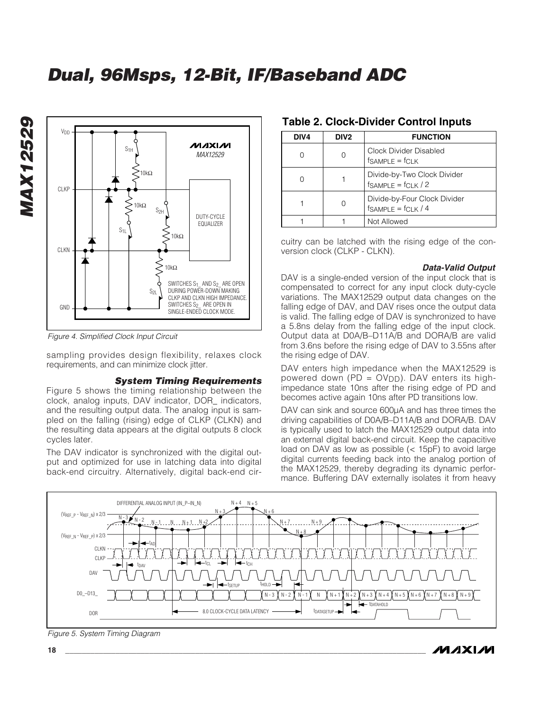

*Figure 4. Simplified Clock Input Circuit*

*MAX12529*

**MAX12529** 

sampling provides design flexibility, relaxes clock requirements, and can minimize clock jitter.

#### *System Timing Requirements*

Figure 5 shows the timing relationship between the clock, analog inputs, DAV indicator, DOR\_ indicators, and the resulting output data. The analog input is sampled on the falling (rising) edge of CLKP (CLKN) and the resulting data appears at the digital outputs 8 clock cycles later.

The DAV indicator is synchronized with the digital output and optimized for use in latching data into digital back-end circuitry. Alternatively, digital back-end cir-

| DIV4 | DIV <sub>2</sub> | <b>FUNCTION</b>                                            |
|------|------------------|------------------------------------------------------------|
|      |                  | Clock Divider Disabled<br>$f$ SAMPLE = $f$ CLK             |
|      |                  | Divide-by-Two Clock Divider<br>$f_{SAMPLE} = f_{CLK} / 2$  |
|      |                  | Divide-by-Four Clock Divider<br>$f_{SAMPLE} = f_{CLK} / 4$ |

#### **Table 2. Clock-Divider Control Inputs**

cuitry can be latched with the rising edge of the conversion clock (CLKP - CLKN).

1 1 Not Allowed

#### *Data-Valid Output*

/VI /I X I /VI

DAV is a single-ended version of the input clock that is compensated to correct for any input clock duty-cycle variations. The MAX12529 output data changes on the falling edge of DAV, and DAV rises once the output data is valid. The falling edge of DAV is synchronized to have a 5.8ns delay from the falling edge of the input clock. Output data at D0A/B–D11A/B and DORA/B are valid from 3.6ns before the rising edge of DAV to 3.55ns after the rising edge of DAV.

DAV enters high impedance when the MAX12529 is powered down (PD = OVDD). DAV enters its highimpedance state 10ns after the rising edge of PD and becomes active again 10ns after PD transitions low.

DAV can sink and source 600µA and has three times the driving capabilities of D0A/B–D11A/B and DORA/B. DAV is typically used to latch the MAX12529 output data into an external digital back-end circuit. Keep the capacitive load on DAV as low as possible (< 15pF) to avoid large digital currents feeding back into the analog portion of the MAX12529, thereby degrading its dynamic performance. Buffering DAV externally isolates it from heavy



*Figure 5. System Timing Diagram*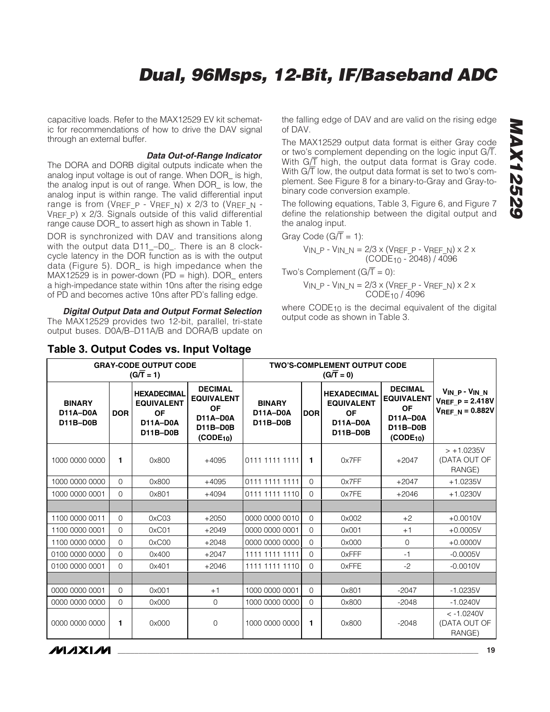capacitive loads. Refer to the MAX12529 EV kit schematic for recommendations of how to drive the DAV signal through an external buffer.

#### *Data Out-of-Range Indicator*

The DORA and DORB digital outputs indicate when the analog input voltage is out of range. When DOR\_ is high, the analog input is out of range. When DOR\_ is low, the analog input is within range. The valid differential input range is from (VREF\_P - VREF\_N) x 2/3 to (VREF\_N - VREF P)  $\times$  2/3. Signals outside of this valid differential range cause DOR\_ to assert high as shown in Table 1.

DOR is synchronized with DAV and transitions along with the output data D11\_–D0\_. There is an 8 clockcycle latency in the DOR function as is with the output data (Figure 5). DOR\_ is high impedance when the MAX12529 is in power-down (PD = high). DOR\_ enters a high-impedance state within 10ns after the rising edge of PD and becomes active 10ns after PD's falling edge.

*Digital Output Data and Output Format Selection* The MAX12529 provides two 12-bit, parallel, tri-state output buses. D0A/B–D11A/B and DORA/B update on

#### **Table 3. Output Codes vs. Input Voltage**

the falling edge of DAV and are valid on the rising edge of DAV.

The MAX12529 output data format is either Gray code or two's complement depending on the logic input  $G/\overline{T}$ . With G/ $\overline{T}$  high, the output data format is Gray code. With  $G/\overline{T}$  low, the output data format is set to two's complement. See Figure 8 for a binary-to-Gray and Gray-tobinary code conversion example.

The following equations, Table 3, Figure 6, and Figure 7 define the relationship between the digital output and the analog input.

Gray Code (G $\overline{T}$  = 1):

$$
V_{IN\_P} - V_{IN\_N} = 2/3 \times (V_{REF\_P} - V_{REF\_N}) \times 2 \times (CODE_{10} - 2048) / 4096
$$

Two's Complement  $(G/\overline{T} = 0)$ :

$$
V_{IN\_P} - V_{IN\_N} = 2/3 \times (V_{REF\_P} - V_{REF\_N}) \times 2 \times \text{CODE}_{10} / 4096
$$

where CODE<sub>10</sub> is the decimal equivalent of the digital output code as shown in Table 3.

| <b>GRAY-CODE OUTPUT CODE</b><br>$(G/\overline{T} = 1)$ |              | <b>TWO'S-COMPLEMENT OUTPUT CODE</b><br>$(G/\overline{T}=0)$                         |                                                                                                          |                                       |                |                                                                              |                                                                                                          |                                                                      |
|--------------------------------------------------------|--------------|-------------------------------------------------------------------------------------|----------------------------------------------------------------------------------------------------------|---------------------------------------|----------------|------------------------------------------------------------------------------|----------------------------------------------------------------------------------------------------------|----------------------------------------------------------------------|
| <b>BINARY</b><br>D11A-D0A<br><b>D11B-D0B</b>           | <b>DOR</b>   | <b>HEXADECIMAL</b><br><b>EQUIVALENT</b><br><b>OF</b><br>D11A-D0A<br><b>D11B-D0B</b> | <b>DECIMAL</b><br><b>EQUIVALENT</b><br><b>OF</b><br>D11A-D0A<br><b>D11B-D0B</b><br>(CODE <sub>10</sub> ) | <b>BINARY</b><br>D11A-D0A<br>D11B-D0B | <b>DOR</b>     | <b>HEXADECIMAL</b><br><b>EQUIVALENT</b><br><b>OF</b><br>D11A-D0A<br>D11B-D0B | <b>DECIMAL</b><br><b>EQUIVALENT</b><br><b>OF</b><br>D11A-D0A<br><b>D11B-D0B</b><br>(CODE <sub>10</sub> ) | $V_{IN}P - V_{IN}N$<br>$V_{REF\_P} = 2.418V$<br>$V_{REF}$ N = 0.882V |
| 1000 0000 0000                                         | 1            | 0x800                                                                               | $+4095$                                                                                                  | 0111 1111 1111                        | 1              | 0x7FF                                                                        | $+2047$                                                                                                  | $> +1.0235V$<br>(DATA OUT OF<br>RANGE)                               |
| 1000 0000 0000                                         | $\Omega$     | 0x800                                                                               | $+4095$                                                                                                  | 0111 1111 1111                        | $\Omega$       | 0x7FF                                                                        | $+2047$                                                                                                  | $+1.0235V$                                                           |
| 1000 0000 0001                                         | $\Omega$     | 0x801                                                                               | $+4094$                                                                                                  | 0111 1111 1110                        | $\Omega$       | 0x7FE                                                                        | $+2046$                                                                                                  | $+1.0230V$                                                           |
|                                                        |              |                                                                                     |                                                                                                          |                                       |                |                                                                              |                                                                                                          |                                                                      |
| 1100 0000 0011                                         | $\Omega$     | 0xC03                                                                               | $+2050$                                                                                                  | 0000 0000 0010                        | $\Omega$       | 0x002                                                                        | $+2$                                                                                                     | $+0.0010V$                                                           |
| 1100 0000 0001                                         | $\mathbf{0}$ | 0xC01                                                                               | $+2049$                                                                                                  | 0000 0000 0001                        | $\overline{0}$ | 0x001                                                                        | $+1$                                                                                                     | $+0.0005V$                                                           |
| 1100 0000 0000                                         | $\mathbf{0}$ | 0xC00                                                                               | $+2048$                                                                                                  | 0000 0000 0000                        | $\Omega$       | 0x000                                                                        | $\mathbf{0}$                                                                                             | $+0.0000V$                                                           |
| 0100 0000 0000                                         | $\mathbf{0}$ | 0x400                                                                               | $+2047$                                                                                                  | 1111 1111 1111                        | $\overline{O}$ | 0xFFF                                                                        | $-1$                                                                                                     | $-0.0005V$                                                           |
| 0100 0000 0001                                         | $\mathbf{0}$ | 0x401                                                                               | $+2046$                                                                                                  | 1111 1111 1110                        | $\Omega$       | 0xFFE                                                                        | $-2$                                                                                                     | $-0.0010V$                                                           |
|                                                        |              |                                                                                     |                                                                                                          |                                       |                |                                                                              |                                                                                                          |                                                                      |
| 0000 0000 0001                                         | $\Omega$     | 0x001                                                                               | $+1$                                                                                                     | 1000 0000 0001                        | $\Omega$       | 0x801                                                                        | $-2047$                                                                                                  | $-1.0235V$                                                           |
| 0000 0000 0000                                         | $\Omega$     | 0x000                                                                               | $\overline{0}$                                                                                           | 1000 0000 0000                        | $\Omega$       | 0x800                                                                        | $-2048$                                                                                                  | $-1.0240V$                                                           |
| 0000 0000 0000                                         | 1            | 0x000                                                                               | 0                                                                                                        | 1000 0000 0000                        | 1              | 0x800                                                                        | $-2048$                                                                                                  | $< -1.0240V$<br>(DATA OUT OF<br>RANGE)                               |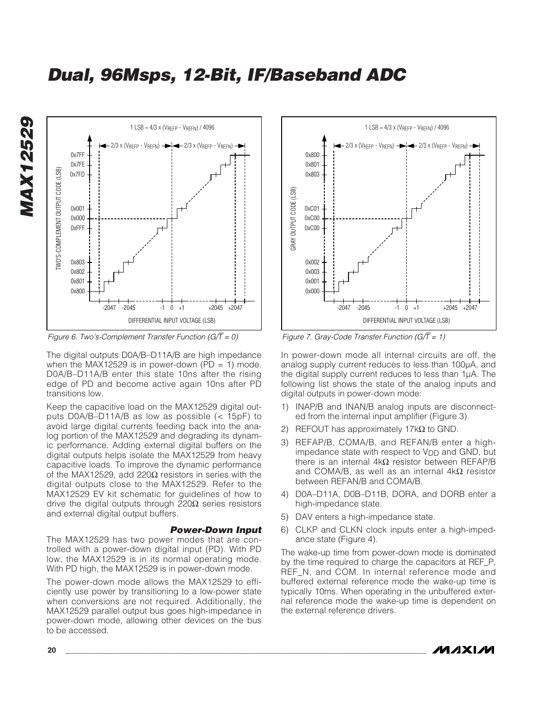

*Figure 6. Two's-Complement Transfer Function (G/*T *= 0)*

The digital outputs D0A/B–D11A/B are high impedance when the MAX12529 is in power-down (PD = 1) mode. D0A/B–D11A/B enter this state 10ns after the rising edge of PD and become active again 10ns after PD transitions low.

Keep the capacitive load on the MAX12529 digital outputs D0A/B–D11A/B as low as possible (< 15pF) to avoid large digital currents feeding back into the analog portion of the MAX12529 and degrading its dynamic performance. Adding external digital buffers on the digital outputs helps isolate the MAX12529 from heavy capacitive loads. To improve the dynamic performance of the MAX12529, add 220Ω resistors in series with the digital outputs close to the MAX12529. Refer to the MAX12529 EV kit schematic for guidelines of how to drive the digital outputs through 220 $\Omega$  series resistors and external digital output buffers.

#### *Power-Down Input*

The MAX12529 has two power modes that are controlled with a power-down digital input (PD). With PD low, the MAX12529 is in its normal operating mode. With PD high, the MAX12529 is in power-down mode.

The power-down mode allows the MAX12529 to efficiently use power by transitioning to a low-power state when conversions are not required. Additionally, the MAX12529 parallel output bus goes high-impedance in power-down mode, allowing other devices on the bus to be accessed.



*Figure 7. Gray-Code Transfer Function (G/*T *= 1)*

In power-down mode all internal circuits are off, the analog supply current reduces to less than 100µA, and the digital supply current reduces to less than 1µA. The following list shows the state of the analog inputs and digital outputs in power-down mode:

- 1) INAP/B and INAN/B analog inputs are disconnected from the internal input amplifier (Figure 3).
- 2) REFOUT has approximately 17k $\Omega$  to GND.
- 3) REFAP/B, COMA/B, and REFAN/B enter a highimpedance state with respect to  $V_{DD}$  and GND, but there is an internal  $4kΩ$  resistor between REFAP/B and COMA/B, as well as an internal  $4kΩ$  resistor between REFAN/B and COMA/B.
- 4) D0A–D11A, D0B–D11B, DORA, and DORB enter a high-impedance state.
- 5) DAV enters a high-impedance state.
- 6) CLKP and CLKN clock inputs enter a high-impedance state (Figure 4).

The wake-up time from power-down mode is dominated by the time required to charge the capacitors at REF\_P, REF N, and COM. In internal reference mode and buffered external reference mode the wake-up time is typically 10ms. When operating in the unbuffered external reference mode the wake-up time is dependent on the external reference drivers.

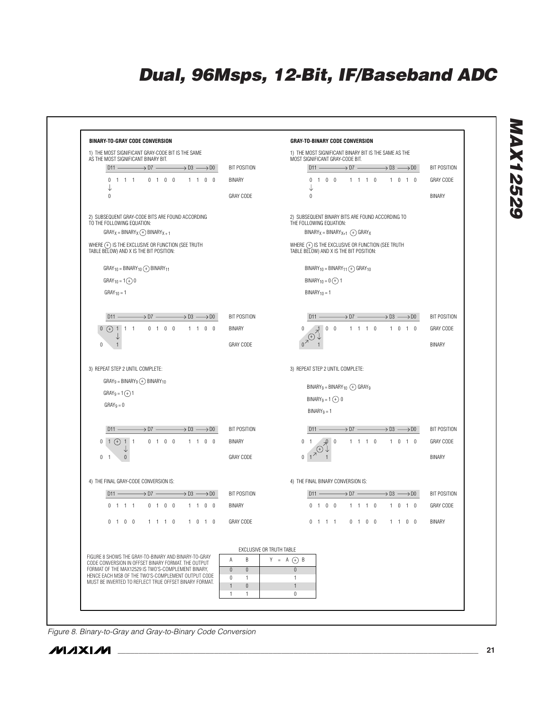

*Figure 8. Binary-to-Gray and Gray-to-Binary Code Conversion*



*MAX12529*

MAX12529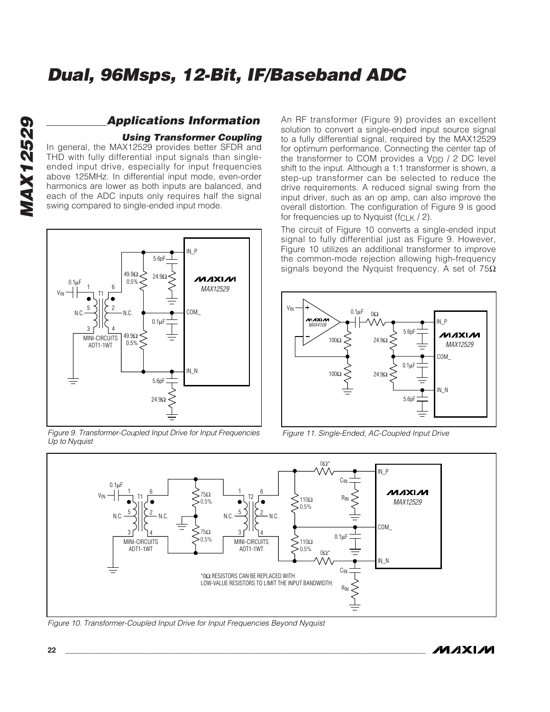# *MAX12529* **MAX12529**

### *Applications Information*

#### *Using Transformer Coupling*

In general, the MAX12529 provides better SFDR and THD with fully differential input signals than singleended input drive, especially for input frequencies above 125MHz. In differential input mode, even-order harmonics are lower as both inputs are balanced, and each of the ADC inputs only requires half the signal swing compared to single-ended input mode.



*Figure 9. Transformer-Coupled Input Drive for Input Frequencies Up to Nyquist*

An RF transformer (Figure 9) provides an excellent solution to convert a single-ended input source signal to a fully differential signal, required by the MAX12529 for optimum performance. Connecting the center tap of the transformer to COM provides a  $V_{DD}$  / 2 DC level shift to the input. Although a 1:1 transformer is shown, a step-up transformer can be selected to reduce the drive requirements. A reduced signal swing from the input driver, such as an op amp, can also improve the overall distortion. The configuration of Figure 9 is good for frequencies up to Nyquist ( $fCLK / 2$ ).

The circuit of Figure 10 converts a single-ended input signal to fully differential just as Figure 9. However, Figure 10 utilizes an additional transformer to improve the common-mode rejection allowing high-frequency signals beyond the Nyquist frequency. A set of  $75\Omega$ 



*Figure 11. Single-Ended, AC-Coupled Input Drive*



*Figure 10. Transformer-Coupled Input Drive for Input Frequencies Beyond Nyquist*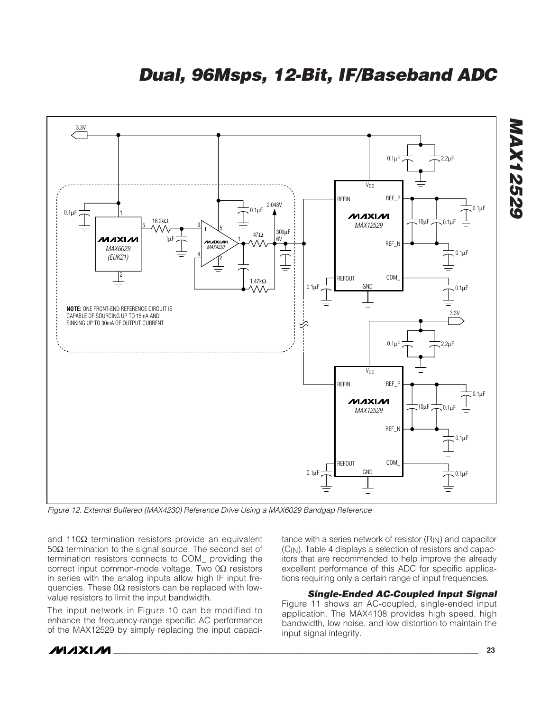

*Figure 12. External Buffered (MAX4230) Reference Drive Using a MAX6029 Bandgap Reference*

and 110Ω termination resistors provide an equivalent 50Ω termination to the signal source. The second set of termination resistors connects to COM\_ providing the correct input common-mode voltage. Two 0Ω resistors in series with the analog inputs allow high IF input frequencies. These  $0\Omega$  resistors can be replaced with lowvalue resistors to limit the input bandwidth.

The input network in Figure 10 can be modified to enhance the frequency-range specific AC performance of the MAX12529 by simply replacing the input capacitance with a series network of resistor  $(R_{IN})$  and capacitor (CIN). Table 4 displays a selection of resistors and capacitors that are recommended to help improve the already excellent performance of this ADC for specific applications requiring only a certain range of input frequencies.

*Single-Ended AC-Coupled Input Signal* Figure 11 shows an AC-coupled, single-ended input application. The MAX4108 provides high speed, high bandwidth, low noise, and low distortion to maintain the input signal integrity.

### **\_\_\_\_\_\_\_\_\_\_\_\_\_\_\_\_\_\_\_\_\_\_\_\_\_\_\_\_\_\_\_\_\_\_\_\_\_\_\_\_\_\_\_\_\_\_\_\_\_\_\_\_\_\_\_\_\_\_\_\_\_\_\_\_\_\_\_\_\_\_\_\_\_\_\_\_\_\_\_\_\_\_\_\_\_\_\_\_\_\_\_\_\_\_\_\_\_\_\_\_\_\_ 23**

*MAX12529*

**MAX12529**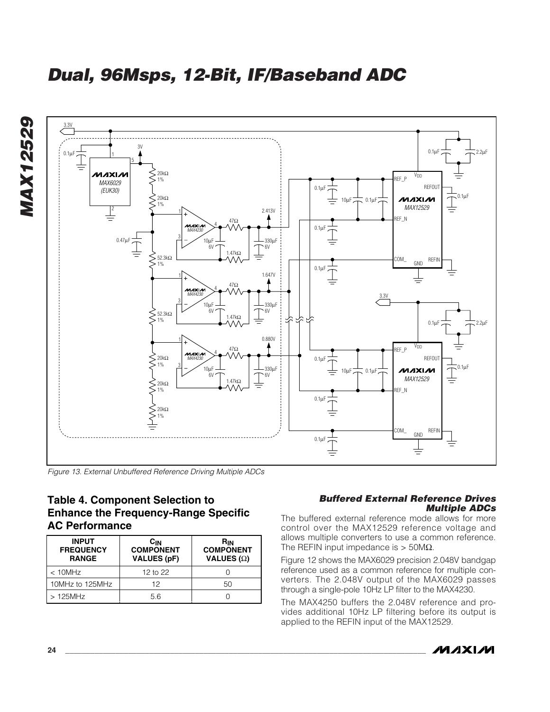



*Figure 13. External Unbuffered Reference Driving Multiple ADCs*

### **Table 4. Component Selection to Enhance the Frequency-Range Specific AC Performance**

| <b>INPUT</b><br><b>FREQUENCY</b><br><b>RANGE</b> | <b>C<sub>IN</sub></b><br><b>COMPONENT</b><br><b>VALUES (pF)</b> | Rın<br><b>COMPONENT</b><br>VALUES $(\Omega)$ |  |  |
|--------------------------------------------------|-----------------------------------------------------------------|----------------------------------------------|--|--|
| $< 10$ MHz                                       | 12 to 22                                                        |                                              |  |  |
| 10MHz to 125MHz                                  | 12                                                              | 50                                           |  |  |
| $>125$ MHz                                       | 5.6                                                             |                                              |  |  |

#### *Buffered External Reference Drives Multiple ADCs*

The buffered external reference mode allows for more control over the MAX12529 reference voltage and allows multiple converters to use a common reference. The REFIN input impedance is  $> 50M\Omega$ .

Figure 12 shows the MAX6029 precision 2.048V bandgap reference used as a common reference for multiple converters. The 2.048V output of the MAX6029 passes through a single-pole 10Hz LP filter to the MAX4230.

The MAX4250 buffers the 2.048V reference and provides additional 10Hz LP filtering before its output is applied to the REFIN input of the MAX12529.

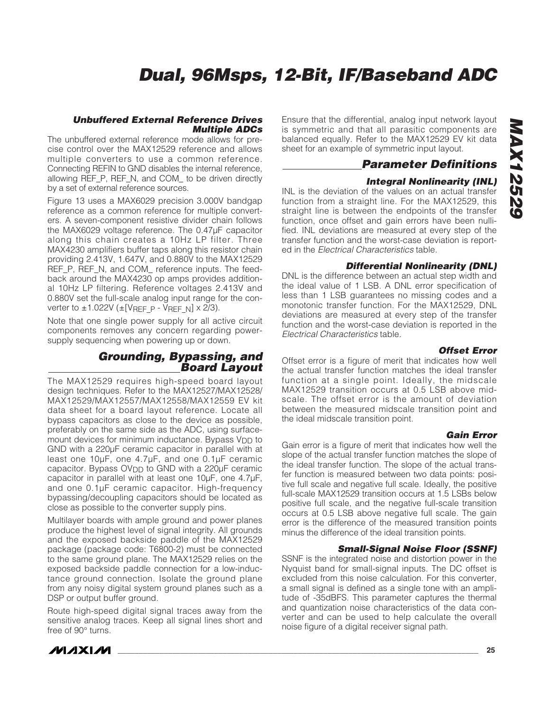#### *Unbuffered External Reference Drives Multiple ADCs*

The unbuffered external reference mode allows for precise control over the MAX12529 reference and allows multiple converters to use a common reference. Connecting REFIN to GND disables the internal reference, allowing REF\_P, REF\_N, and COM\_ to be driven directly by a set of external reference sources.

Figure 13 uses a MAX6029 precision 3.000V bandgap reference as a common reference for multiple converters. A seven-component resistive divider chain follows the MAX6029 voltage reference. The 0.47µF capacitor along this chain creates a 10Hz LP filter. Three MAX4230 amplifiers buffer taps along this resistor chain providing 2.413V, 1.647V, and 0.880V to the MAX12529 REF\_P, REF\_N, and COM\_ reference inputs. The feedback around the MAX4230 op amps provides additional 10Hz LP filtering. Reference voltages 2.413V and 0.880V set the full-scale analog input range for the converter to  $\pm$ 1.022V ( $\pm$ [VREF P - VREF N] x 2/3).

Note that one single power supply for all active circuit components removes any concern regarding powersupply sequencing when powering up or down.

#### *Grounding, Bypassing, and Board Layout*

The MAX12529 requires high-speed board layout design techniques. Refer to the MAX12527/MAX12528/ MAX12529/MAX12557/MAX12558/MAX12559 EV kit data sheet for a board layout reference. Locate all bypass capacitors as close to the device as possible, preferably on the same side as the ADC, using surfacemount devices for minimum inductance. Bypass  $V_{DD}$  to GND with a 220µF ceramic capacitor in parallel with at least one 10µF, one 4.7µF, and one 0.1µF ceramic capacitor. Bypass OV<sub>DD</sub> to GND with a 220µF ceramic capacitor in parallel with at least one 10µF, one 4.7µF, and one 0.1µF ceramic capacitor. High-frequency bypassing/decoupling capacitors should be located as close as possible to the converter supply pins.

Multilayer boards with ample ground and power planes produce the highest level of signal integrity. All grounds and the exposed backside paddle of the MAX12529 package (package code: T6800-2) must be connected to the same ground plane. The MAX12529 relies on the exposed backside paddle connection for a low-inductance ground connection. Isolate the ground plane from any noisy digital system ground planes such as a DSP or output buffer ground.

Route high-speed digital signal traces away from the sensitive analog traces. Keep all signal lines short and free of 90° turns.

Ensure that the differential, analog input network layout is symmetric and that all parasitic components are balanced equally. Refer to the MAX12529 EV kit data sheet for an example of symmetric input layout.

### *Parameter Definitions*

#### *Integral Nonlinearity (INL)*

INL is the deviation of the values on an actual transfer function from a straight line. For the MAX12529, this straight line is between the endpoints of the transfer function, once offset and gain errors have been nullified. INL deviations are measured at every step of the transfer function and the worst-case deviation is reported in the *Electrical Characteristics* table.

#### *Differential Nonlinearity (DNL)*

DNL is the difference between an actual step width and the ideal value of 1 LSB. A DNL error specification of less than 1 LSB guarantees no missing codes and a monotonic transfer function. For the MAX12529, DNL deviations are measured at every step of the transfer function and the worst-case deviation is reported in the *Electrical Characteristics* table.

#### *Offset Error*

Offset error is a figure of merit that indicates how well the actual transfer function matches the ideal transfer function at a single point. Ideally, the midscale MAX12529 transition occurs at 0.5 LSB above midscale. The offset error is the amount of deviation between the measured midscale transition point and the ideal midscale transition point.

#### *Gain Error*

Gain error is a figure of merit that indicates how well the slope of the actual transfer function matches the slope of the ideal transfer function. The slope of the actual transfer function is measured between two data points: positive full scale and negative full scale. Ideally, the positive full-scale MAX12529 transition occurs at 1.5 LSBs below positive full scale, and the negative full-scale transition occurs at 0.5 LSB above negative full scale. The gain error is the difference of the measured transition points minus the difference of the ideal transition points.

#### *Small-Signal Noise Floor (SSNF)*

SSNF is the integrated noise and distortion power in the Nyquist band for small-signal inputs. The DC offset is excluded from this noise calculation. For this converter, a small signal is defined as a single tone with an amplitude of -35dBFS. This parameter captures the thermal and quantization noise characteristics of the data converter and can be used to help calculate the overall noise figure of a digital receiver signal path.

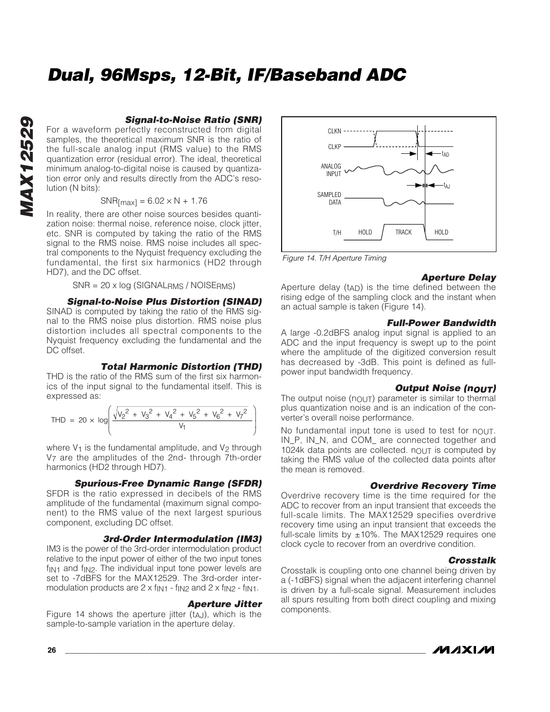For a waveform perfectly reconstructed from digital samples, the theoretical maximum SNR is the ratio of the full-scale analog input (RMS value) to the RMS quantization error (residual error). The ideal, theoretical minimum analog-to-digital noise is caused by quantization error only and results directly from the ADC's resolution (N bits):

 $SNR$ [max] = 6.02  $\times$  N + 1.76

In reality, there are other noise sources besides quantization noise: thermal noise, reference noise, clock jitter, etc. SNR is computed by taking the ratio of the RMS signal to the RMS noise. RMS noise includes all spectral components to the Nyquist frequency excluding the fundamental, the first six harmonics (HD2 through HD7), and the DC offset.

SNR = 20 x log (SIGNALRMS / NOISERMS)

#### *Signal-to-Noise Plus Distortion (SINAD)*

SINAD is computed by taking the ratio of the RMS signal to the RMS noise plus distortion. RMS noise plus distortion includes all spectral components to the Nyquist frequency excluding the fundamental and the DC offset.

#### *Total Harmonic Distortion (THD)*

THD is the ratio of the RMS sum of the first six harmonics of the input signal to the fundamental itself. This is expressed as:

$$
\text{THD} = 20 \times \log \left( \frac{\sqrt{{v_2}^2 + {v_3}^2 + {v_4}^2 + {v_5}^2 + {v_6}^2 + {v_7}^2}}{v_1} \right)
$$

where  $V_1$  is the fundamental amplitude, and  $V_2$  through V7 are the amplitudes of the 2nd- through 7th-order harmonics (HD2 through HD7).

#### *Spurious-Free Dynamic Range (SFDR)*

SFDR is the ratio expressed in decibels of the RMS amplitude of the fundamental (maximum signal component) to the RMS value of the next largest spurious component, excluding DC offset.

#### *3rd-Order Intermodulation (IM3)*

IM3 is the power of the 3rd-order intermodulation product relative to the input power of either of the two input tones  $f_{\text{IN1}}$  and  $f_{\text{IN2}}$ . The individual input tone power levels are set to -7dBFS for the MAX12529. The 3rd-order intermodulation products are  $2 \times f_{\text{IN1}}$  -  $f_{\text{IN2}}$  and  $2 \times f_{\text{IN2}}$  -  $f_{\text{IN1}}$ .

#### *Aperture Jitter*

Figure 14 shows the aperture jitter  $(t_{A,J})$ , which is the sample-to-sample variation in the aperture delay.



*Figure 14. T/H Aperture Timing*

#### *Aperture Delay*

Aperture delay (tAD) is the time defined between the rising edge of the sampling clock and the instant when an actual sample is taken (Figure 14).

#### *Full-Power Bandwidth*

A large -0.2dBFS analog input signal is applied to an ADC and the input frequency is swept up to the point where the amplitude of the digitized conversion result has decreased by -3dB. This point is defined as fullpower input bandwidth frequency.

#### *Output Noise (nOUT)*

The output noise  $(n_{\text{OUT}})$  parameter is similar to thermal plus quantization noise and is an indication of the converter's overall noise performance.

No fundamental input tone is used to test for nout. IN\_P, IN\_N, and COM\_ are connected together and 1024k data points are collected. nout is computed by taking the RMS value of the collected data points after the mean is removed.

#### *Overdrive Recovery Time*

Overdrive recovery time is the time required for the ADC to recover from an input transient that exceeds the full-scale limits. The MAX12529 specifies overdrive recovery time using an input transient that exceeds the full-scale limits by  $\pm 10\%$ . The MAX12529 requires one clock cycle to recover from an overdrive condition.

#### *Crosstalk*

Crosstalk is coupling onto one channel being driven by a (-1dBFS) signal when the adjacent interfering channel is driven by a full-scale signal. Measurement includes all spurs resulting from both direct coupling and mixing components.

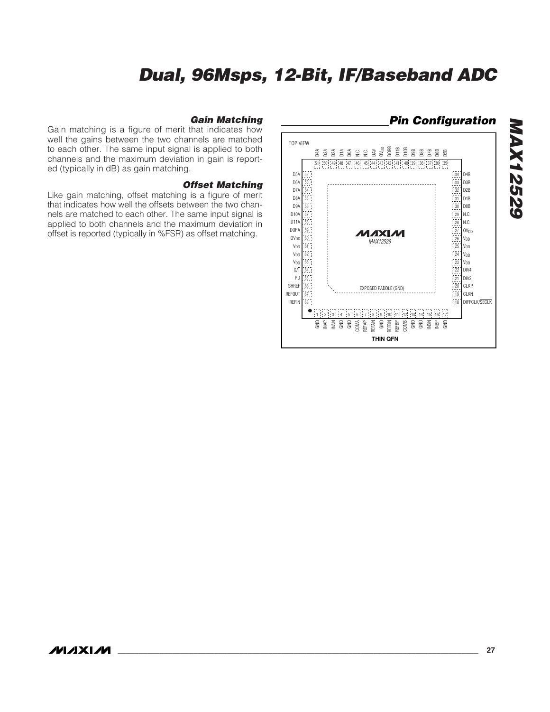#### *Pin Configuration*TOP VIEW N.C. N.C. DAV OVDD DORB D11B D10B D9B D8B D7B 36 35 D6B D5B 47D0A <sup>50</sup> <sup>49</sup> <sup>48</sup> D3A D2A D1A 51D4A  $151$   $150$   $149$   $147$   $146$   $145$   $144$   $143$   $142$   $141$   $140$   $139$   $138$   $137$   $136$   $135$ D5A 52 34 D4B D6A 53 33 D3B D7A 54 32 D2B 31 D1B D8A 55 D9A 56 30 D0B N.C. D10A 29 57 D11A  $\frac{5}{2}$ N.C. 28 DORA 59  $1$ <sub>OV<sub>DD</sub></sub> MAXIM 27  $\frac{60}{54}$ OV<sub>DD</sub> VDD *MAX12529* 26  $\mathsf{V}_{\mathsf{DD}}$ VDD 61 25 24 V<sub>DD</sub>  $\mathbb{I}_{\mathsf{V}_{\mathsf{DD}}}$ 62  $V_{DD}$ 23 VDD 63 G/T 1<sub>DIV4</sub> 64 22 PD  $\log$ 65 21 1 CLKP SHREF 66 EXPOSED PADDLE (GND) REFOUT  $19$ CLKN 67 REFIN 68 18 DIFFCLK/SECLK  $\bullet$ 1 1 | 2 | 13 | 14 | 15 | 16 | 17 | 18 | 19 | 10 | 11 | 12 | 13 | 14 | 15 16 17 GND GND GND  $\frac{1}{2}$ INAN GND COMA REFAP REFAN GND REFBN REFBP COMB GND INBN e a **THIN QFN**

#### *Gain Matching*

Gain matching is a figure of merit that indicates how well the gains between the two channels are matched to each other. The same input signal is applied to both channels and the maximum deviation in gain is reported (typically in dB) as gain matching.

#### *Offset Matching*

Like gain matching, offset matching is a figure of merit that indicates how well the offsets between the two channels are matched to each other. The same input signal is applied to both channels and the maximum deviation in offset is reported (typically in %FSR) as offset matching.

*MAX12529*

**MAX12529**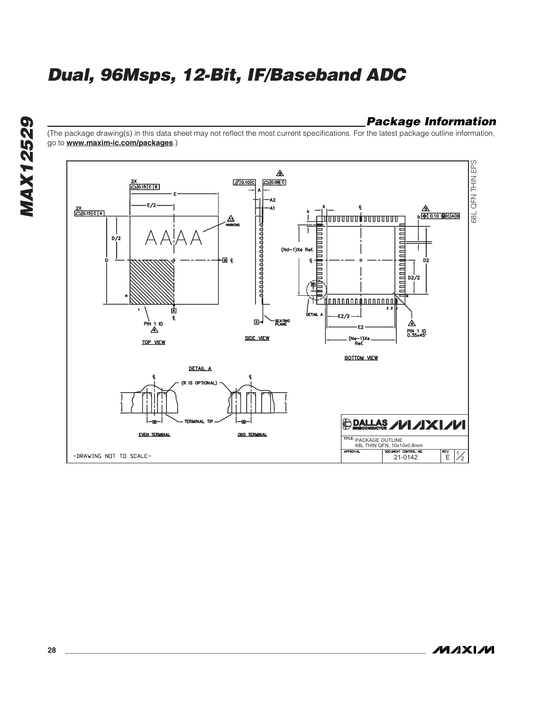### *Package Information*

(The package drawing(s) in this data sheet may not reflect the most current specifications. For the latest package outline information, go to **www.maxim-ic.com/packages**.)



**MAXM**